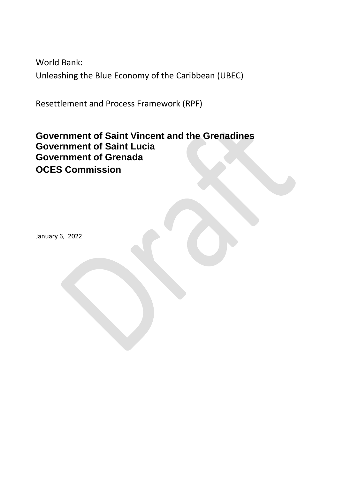World Bank: Unleashing the Blue Economy of the Caribbean (UBEC)

Resettlement and Process Framework (RPF)

# **Government of Saint Vincent and the Grenadines Government of Saint Lucia Government of Grenada OCES Commission**

January 6, 2022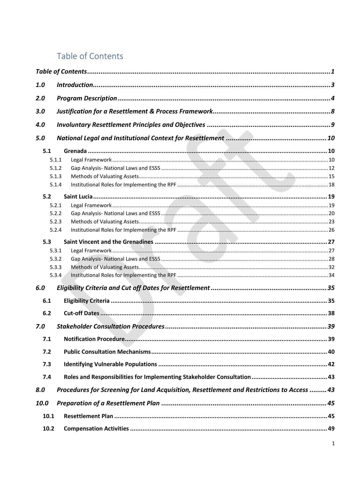# <span id="page-1-0"></span>Table of Contents

| 1.0  |       |                                                                                           |  |
|------|-------|-------------------------------------------------------------------------------------------|--|
| 2.0  |       |                                                                                           |  |
| 3.0  |       |                                                                                           |  |
|      |       |                                                                                           |  |
| 4.0  |       |                                                                                           |  |
| 5.0  |       |                                                                                           |  |
| 5.1  |       |                                                                                           |  |
|      | 5.1.1 |                                                                                           |  |
|      | 5.1.2 |                                                                                           |  |
|      | 5.1.3 |                                                                                           |  |
|      | 5.1.4 |                                                                                           |  |
| 5.2  |       |                                                                                           |  |
|      | 5.2.1 |                                                                                           |  |
|      | 5.2.2 |                                                                                           |  |
|      | 5.2.3 |                                                                                           |  |
|      | 5.2.4 |                                                                                           |  |
| 5.3  |       |                                                                                           |  |
|      | 5.3.1 |                                                                                           |  |
|      | 5.3.2 |                                                                                           |  |
|      | 5.3.3 |                                                                                           |  |
|      | 5.3.4 |                                                                                           |  |
|      |       |                                                                                           |  |
| 6.0  |       |                                                                                           |  |
| 6.1  |       |                                                                                           |  |
| 6.2  |       |                                                                                           |  |
| 7.0  |       |                                                                                           |  |
| 7.1  |       |                                                                                           |  |
| 7.2  |       |                                                                                           |  |
| 7.3  |       |                                                                                           |  |
| 7.4  |       |                                                                                           |  |
|      |       |                                                                                           |  |
| 8.0  |       | Procedures for Screening for Land Acquisition, Resettlement and Restrictions to Access 43 |  |
| 10.0 |       |                                                                                           |  |
| 10.1 |       |                                                                                           |  |
| 10.2 |       |                                                                                           |  |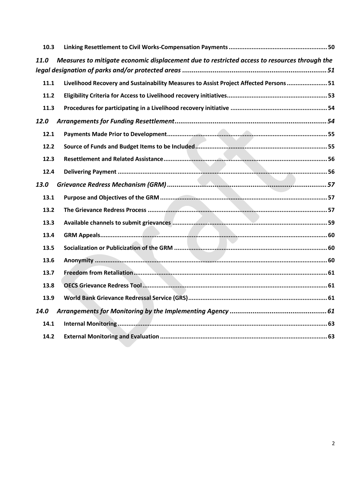| 10.3 |                                                                                              |
|------|----------------------------------------------------------------------------------------------|
| 11.0 | Measures to mitigate economic displacement due to restricted access to resources through the |
|      |                                                                                              |
| 11.1 | Livelihood Recovery and Sustainability Measures to Assist Project Affected Persons 51        |
| 11.2 |                                                                                              |
| 11.3 |                                                                                              |
| 12.0 |                                                                                              |
| 12.1 |                                                                                              |
| 12.2 |                                                                                              |
| 12.3 |                                                                                              |
| 12.4 |                                                                                              |
| 13.0 |                                                                                              |
| 13.1 |                                                                                              |
| 13.2 |                                                                                              |
| 13.3 |                                                                                              |
| 13.4 |                                                                                              |
| 13.5 |                                                                                              |
| 13.6 |                                                                                              |
| 13.7 |                                                                                              |
| 13.8 |                                                                                              |
| 13.9 |                                                                                              |
| 14.0 |                                                                                              |
| 14.1 |                                                                                              |
| 14.2 |                                                                                              |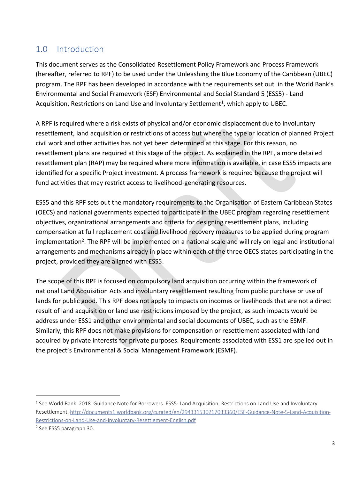# <span id="page-3-0"></span>1.0 Introduction

This document serves as the Consolidated Resettlement Policy Framework and Process Framework (hereafter, referred to RPF) to be used under the Unleashing the Blue Economy of the Caribbean (UBEC) program. The RPF has been developed in accordance with the requirements set out in the World Bank's Environmental and Social Framework (ESF) Environmental and Social Standard 5 (ESS5) - Land Acquisition, Restrictions on Land Use and Involuntary Settlement<sup>1</sup>, which apply to UBEC.

A RPF is required where a risk exists of physical and/or economic displacement due to involuntary resettlement, land acquisition or restrictions of access but where the type or location of planned Project civil work and other activities has not yet been determined at this stage. For this reason, no resettlement plans are required at this stage of the project. As explained in the RPF, a more detailed resettlement plan (RAP) may be required where more information is available, in case ESS5 impacts are identified for a specific Project investment. A process framework is required because the project will fund activities that may restrict access to livelihood-generating resources.

ESS5 and this RPF sets out the mandatory requirements to the Organisation of Eastern Caribbean States (OECS) and national governments expected to participate in the UBEC program regarding resettlement objectives, organizational arrangements and criteria for designing resettlement plans, including compensation at full replacement cost and livelihood recovery measures to be applied during program implementation<sup>2</sup>. The RPF will be implemented on a national scale and will rely on legal and institutional arrangements and mechanisms already in place within each of the three OECS states participating in the project, provided they are aligned with ESS5.

The scope of this RPF is focused on compulsory land acquisition occurring within the framework of national Land Acquisition Acts and involuntary resettlement resulting from public purchase or use of lands for public good. This RPF does not apply to impacts on incomes or livelihoods that are not a direct result of land acquisition or land use restrictions imposed by the project, as such impacts would be address under ESS1 and other environmental and social documents of UBEC, such as the ESMF. Similarly, this RPF does not make provisions for compensation or resettlement associated with land acquired by private interests for private purposes. Requirements associated with ESS1 are spelled out in the project's Environmental & Social Management Framework (ESMF).

<sup>&</sup>lt;sup>1</sup> See World Bank. 2018. Guidance Note for Borrowers. ESS5: Land Acquisition, Restrictions on Land Use and Involuntary Resettlement. http://documents1.worldbank.org/curated/en/294331530217033360/ESF-Guidance-Note-5-Land-Acquisition-Restrictions-on-Land-Use-and-Involuntary-Resettlement-English.pdf

<sup>2</sup> See ESS5 paragraph 30.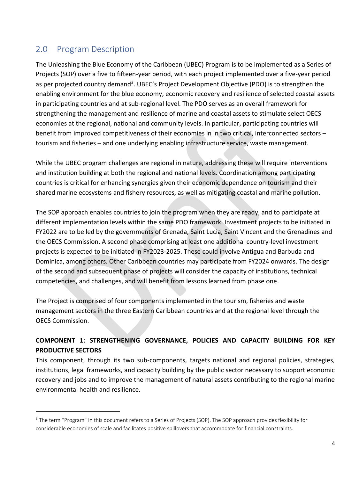# <span id="page-4-0"></span>2.0 Program Description

 $\overline{a}$ 

The Unleashing the Blue Economy of the Caribbean (UBEC) Program is to be implemented as a Series of Projects (SOP) over a five to fifteen-year period, with each project implemented over a five-year period as per projected country demand<sup>3</sup>. UBEC's Project Development Objective (PDO) is to strengthen the enabling environment for the blue economy, economic recovery and resilience of selected coastal assets in participating countries and at sub-regional level. The PDO serves as an overall framework for strengthening the management and resilience of marine and coastal assets to stimulate select OECS economies at the regional, national and community levels. In particular, participating countries will benefit from improved competitiveness of their economies in in two critical, interconnected sectors – tourism and fisheries – and one underlying enabling infrastructure service, waste management.

While the UBEC program challenges are regional in nature, addressing these will require interventions and institution building at both the regional and national levels. Coordination among participating countries is critical for enhancing synergies given their economic dependence on tourism and their shared marine ecosystems and fishery resources, as well as mitigating coastal and marine pollution.

The SOP approach enables countries to join the program when they are ready, and to participate at different implementation levels within the same PDO framework. Investment projects to be initiated in FY2022 are to be led by the governments of Grenada, Saint Lucia, Saint Vincent and the Grenadines and the OECS Commission. A second phase comprising at least one additional country-level investment projects is expected to be initiated in FY2023-2025. These could involve Antigua and Barbuda and Dominica, among others. Other Caribbean countries may participate from FY2024 onwards. The design of the second and subsequent phase of projects will consider the capacity of institutions, technical competencies, and challenges, and will benefit from lessons learned from phase one.

The Project is comprised of four components implemented in the tourism, fisheries and waste management sectors in the three Eastern Caribbean countries and at the regional level through the OECS Commission.

### **COMPONENT 1: STRENGTHENING GOVERNANCE, POLICIES AND CAPACITY BUILDING FOR KEY PRODUCTIVE SECTORS**

This component, through its two sub-components, targets national and regional policies, strategies, institutions, legal frameworks, and capacity building by the public sector necessary to support economic recovery and jobs and to improve the management of natural assets contributing to the regional marine environmental health and resilience.

<sup>&</sup>lt;sup>3</sup> The term "Program" in this document refers to a Series of Projects (SOP). The SOP approach provides flexibility for considerable economies of scale and facilitates positive spillovers that accommodate for financial constraints.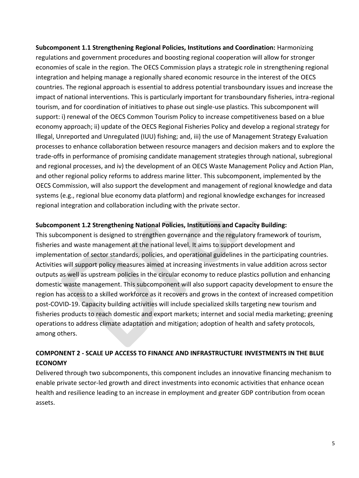**Subcomponent 1.1 Strengthening Regional Policies, Institutions and Coordination:** Harmonizing regulations and government procedures and boosting regional cooperation will allow for stronger economies of scale in the region. The OECS Commission plays a strategic role in strengthening regional integration and helping manage a regionally shared economic resource in the interest of the OECS countries. The regional approach is essential to address potential transboundary issues and increase the impact of national interventions. This is particularly important for transboundary fisheries, intra-regional tourism, and for coordination of initiatives to phase out single-use plastics. This subcomponent will support: i) renewal of the OECS Common Tourism Policy to increase competitiveness based on a blue economy approach; ii) update of the OECS Regional Fisheries Policy and develop a regional strategy for Illegal, Unreported and Unregulated (IUU) fishing; and, iii) the use of Management Strategy Evaluation processes to enhance collaboration between resource managers and decision makers and to explore the trade-offs in performance of promising candidate management strategies through national, subregional and regional processes, and iv) the development of an OECS Waste Management Policy and Action Plan, and other regional policy reforms to address marine litter. This subcomponent, implemented by the OECS Commission, will also support the development and management of regional knowledge and data systems (e.g., regional blue economy data platform) and regional knowledge exchanges for increased regional integration and collaboration including with the private sector.

### **Subcomponent 1.2 Strengthening National Policies, Institutions and Capacity Building:**

This subcomponent is designed to strengthen governance and the regulatory framework of tourism, fisheries and waste management at the national level. It aims to support development and implementation of sector standards, policies, and operational guidelines in the participating countries. Activities will support policy measures aimed at increasing investments in value addition across sector outputs as well as upstream policies in the circular economy to reduce plastics pollution and enhancing domestic waste management. This subcomponent will also support capacity development to ensure the region has access to a skilled workforce as it recovers and grows in the context of increased competition post-COVID-19. Capacity building activities will include specialized skills targeting new tourism and fisheries products to reach domestic and export markets; internet and social media marketing; greening operations to address climate adaptation and mitigation; adoption of health and safety protocols, among others.

### **COMPONENT 2 - SCALE UP ACCESS TO FINANCE AND INFRASTRUCTURE INVESTMENTS IN THE BLUE ECONOMY**

Delivered through two subcomponents, this component includes an innovative financing mechanism to enable private sector-led growth and direct investments into economic activities that enhance ocean health and resilience leading to an increase in employment and greater GDP contribution from ocean assets.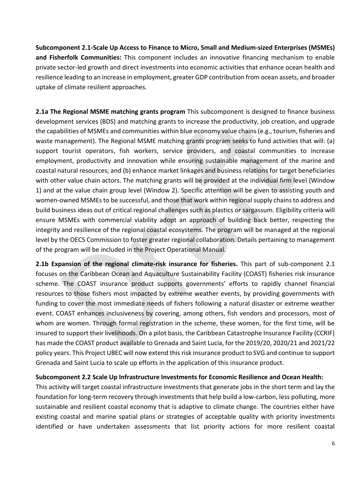**Subcomponent 2.1-Scale Up Access to Finance to Micro, Small and Medium-sized Enterprises (MSMEs) and Fisherfolk Communities:** This component includes an innovative financing mechanism to enable private sector-led growth and direct investments into economic activities that enhance ocean health and resilience leading to an increase in employment, greater GDP contribution from ocean assets, and broader uptake of climate resilient approaches.

**2.1a The Regional MSME matching grants program** This subcomponent is designed to finance business development services (BDS) and matching grants to increase the productivity, job creation, and upgrade the capabilities of MSMEs and communities within blue economy value chains (e.g., tourism, fisheries and waste management). The Regional MSME matching grants program seeks to fund activities that will: (a) support tourist operators, fish workers, service providers, and coastal communities to increase employment, productivity and innovation while ensuring sustainable management of the marine and coastal natural resources; and (b) enhance market linkages and business relations for target beneficiaries with other value chain actors. The matching grants will be provided at the individual firm level (Window 1) and at the value chain group level (Window 2). Specific attention will be given to assisting youth and women-owned MSMEs to be successful, and those that work within regional supply chains to address and build business ideas out of critical regional challenges such as plastics or sargassum. Eligibility criteria will ensure MSMEs with commercial viability adopt an approach of building back better, respecting the integrity and resilience of the regional coastal ecosystems. The program will be managed at the regional level by the OECS Commission to foster greater regional collaboration. Details pertaining to management of the program will be included in the Project Operational Manual.

**2.1b Expansion of the regional climate-risk insurance for fisheries.** This part of sub-component 2.1 focuses on the Caribbean Ocean and Aquaculture Sustainability Facility (COAST) fisheries risk insurance scheme. The COAST insurance product supports governments' efforts to rapidly channel financial resources to those fishers most impacted by extreme weather events, by providing governments with funding to cover the most immediate needs of fishers following a natural disaster or extreme weather event. COAST enhances inclusiveness by covering, among others, fish vendors and processors, most of whom are women. Through formal registration in the scheme, these women, for the first time, will be insured to support their livelihoods. On a pilot basis, the Caribbean Catastrophe Insurance Facility (CCRIF) has made the COAST product available to Grenada and Saint Lucia, for the 2019/20, 2020/21 and 2021/22 policy years. This Project UBEC will now extend this risk insurance product to SVG and continue to support Grenada and Saint Lucia to scale up efforts in the application of this insurance product.

#### **Subcomponent 2.2 Scale Up Infrastructure Investments for Economic Resilience and Ocean Health:**

This activity will target coastal infrastructure investments that generate jobs in the short term and lay the foundation for long-term recovery through investments that help build a low-carbon, less polluting, more sustainable and resilient coastal economy that is adaptive to climate change. The countries either have existing coastal and marine spatial plans or strategies of acceptable quality with priority investments identified or have undertaken assessments that list priority actions for more resilient coastal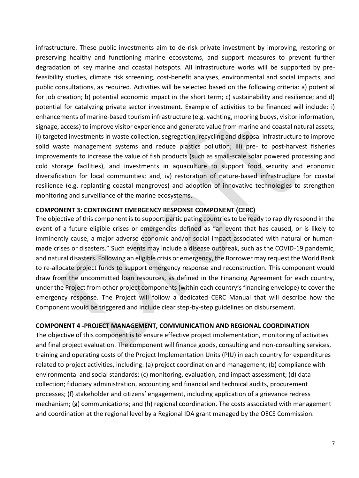infrastructure. These public investments aim to de-risk private investment by improving, restoring or preserving healthy and functioning marine ecosystems, and support measures to prevent further degradation of key marine and coastal hotspots. All infrastructure works will be supported by prefeasibility studies, climate risk screening, cost-benefit analyses, environmental and social impacts, and public consultations, as required. Activities will be selected based on the following criteria: a) potential for job creation; b) potential economic impact in the short term; c) sustainability and resilience; and d) potential for catalyzing private sector investment. Example of activities to be financed will include: i) enhancements of marine-based tourism infrastructure (e.g. yachting, mooring buoys, visitor information, signage, access) to improve visitor experience and generate value from marine and coastal natural assets; ii) targeted investments in waste collection, segregation, recycling and disposal infrastructure to improve solid waste management systems and reduce plastics pollution; iii) pre- to post-harvest fisheries improvements to increase the value of fish products (such as small-scale solar powered processing and cold storage facilities), and investments in aquaculture to support food security and economic diversification for local communities; and, iv) restoration of nature-based infrastructure for coastal resilience (e.g. replanting coastal mangroves) and adoption of innovative technologies to strengthen monitoring and surveillance of the marine ecosystems.

#### **COMPONENT 3: CONTINGENT EMERGENCY RESPONSE COMPONENT (CERC)**

The objective of this component is to support participating countries to be ready to rapidly respond in the event of a future eligible crises or emergencies defined as "an event that has caused, or is likely to imminently cause, a major adverse economic and/or social impact associated with natural or humanmade crises or disasters." Such events may include a disease outbreak, such as the COVID-19 pandemic, and natural disasters. Following an eligible crisis or emergency, the Borrower may request the World Bank to re-allocate project funds to support emergency response and reconstruction. This component would draw from the uncommitted loan resources, as defined in the Financing Agreement for each country, under the Project from other project components (within each country's financing envelope) to cover the emergency response. The Project will follow a dedicated CERC Manual that will describe how the Component would be triggered and include clear step-by-step guidelines on disbursement.

#### **COMPONENT 4 -PROJECT MANAGEMENT, COMMUNICATION AND REGIONAL COORDINATION**

The objective of this component is to ensure effective project implementation, monitoring of activities and final project evaluation. The component will finance goods, consulting and non-consulting services, training and operating costs of the Project Implementation Units (PIU) in each country for expenditures related to project activities, including: (a) project coordination and management; (b) compliance with environmental and social standards; (c) monitoring, evaluation, and impact assessment; (d) data collection; fiduciary administration, accounting and financial and technical audits, procurement processes; (f) stakeholder and citizens' engagement, including application of a grievance redress mechanism; (g) communications; and (h) regional coordination. The costs associated with management and coordination at the regional level by a Regional IDA grant managed by the OECS Commission.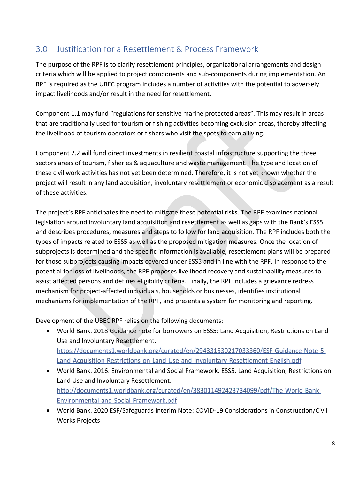# <span id="page-8-0"></span>3.0 Justification for a Resettlement & Process Framework

The purpose of the RPF is to clarify resettlement principles, organizational arrangements and design criteria which will be applied to project components and sub-components during implementation. An RPF is required as the UBEC program includes a number of activities with the potential to adversely impact livelihoods and/or result in the need for resettlement.

Component 1.1 may fund "regulations for sensitive marine protected areas". This may result in areas that are traditionally used for tourism or fishing activities becoming exclusion areas, thereby affecting the livelihood of tourism operators or fishers who visit the spots to earn a living.

Component 2.2 will fund direct investments in resilient coastal infrastructure supporting the three sectors areas of tourism, fisheries & aquaculture and waste management. The type and location of these civil work activities has not yet been determined. Therefore, it is not yet known whether the project will result in any land acquisition, involuntary resettlement or economic displacement as a result of these activities.

The project's RPF anticipates the need to mitigate these potential risks. The RPF examines national legislation around involuntary land acquisition and resettlement as well as gaps with the Bank's ESS5 and describes procedures, measures and steps to follow for land acquisition. The RPF includes both the types of impacts related to ESS5 as well as the proposed mitigation measures. Once the location of subprojects is determined and the specific information is available, resettlement plans will be prepared for those subprojects causing impacts covered under ESS5 and in line with the RPF. In response to the potential for loss of livelihoods, the RPF proposes livelihood recovery and sustainability measures to assist affected persons and defines eligibility criteria. Finally, the RPF includes a grievance redress mechanism for project-affected individuals, households or businesses, identifies institutional mechanisms for implementation of the RPF, and presents a system for monitoring and reporting.

Development of the UBEC RPF relies on the following documents:

- World Bank. 2018 Guidance note for borrowers on ESS5: Land Acquisition, Restrictions on Land Use and Involuntary Resettlement. https://documents1.worldbank.org/curated/en/294331530217033360/ESF-Guidance-Note-5-Land-Acquisition-Restrictions-on-Land-Use-and-Involuntary-Resettlement-English.pdf
- World Bank. 2016. Environmental and Social Framework. ESS5. Land Acquisition, Restrictions on Land Use and Involuntary Resettlement. http://documents1.worldbank.org/curated/en/383011492423734099/pdf/The-World-Bank-Environmental-and-Social-Framework.pdf
- World Bank. 2020 ESF/Safeguards Interim Note: COVID-19 Considerations in Construction/Civil Works Projects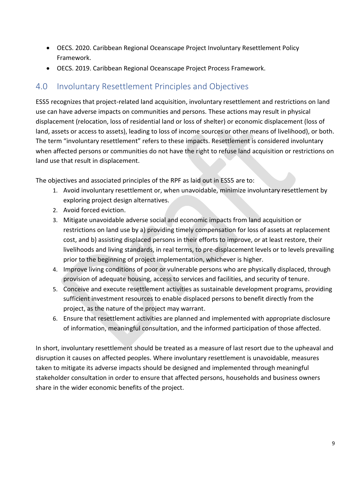- OECS. 2020. Caribbean Regional Oceanscape Project Involuntary Resettlement Policy Framework.
- OECS. 2019. Caribbean Regional Oceanscape Project Process Framework.

# <span id="page-9-0"></span>4.0 Involuntary Resettlement Principles and Objectives

ESS5 recognizes that project-related land acquisition, involuntary resettlement and restrictions on land use can have adverse impacts on communities and persons. These actions may result in physical displacement (relocation, loss of residential land or loss of shelter) or economic displacement (loss of land, assets or access to assets), leading to loss of income sources or other means of livelihood), or both. The term "involuntary resettlement" refers to these impacts. Resettlement is considered involuntary when affected persons or communities do not have the right to refuse land acquisition or restrictions on land use that result in displacement.

The objectives and associated principles of the RPF as laid out in ESS5 are to:

- 1. Avoid involuntary resettlement or, when unavoidable, minimize involuntary resettlement by exploring project design alternatives.
- 2. Avoid forced eviction.
- 3. Mitigate unavoidable adverse social and economic impacts from land acquisition or restrictions on land use by a) providing timely compensation for loss of assets at replacement cost, and b) assisting displaced persons in their efforts to improve, or at least restore, their livelihoods and living standards, in real terms, to pre-displacement levels or to levels prevailing prior to the beginning of project implementation, whichever is higher.
- 4. Improve living conditions of poor or vulnerable persons who are physically displaced, through provision of adequate housing, access to services and facilities, and security of tenure.
- 5. Conceive and execute resettlement activities as sustainable development programs, providing sufficient investment resources to enable displaced persons to benefit directly from the project, as the nature of the project may warrant.
- 6. Ensure that resettlement activities are planned and implemented with appropriate disclosure of information, meaningful consultation, and the informed participation of those affected.

In short, involuntary resettlement should be treated as a measure of last resort due to the upheaval and disruption it causes on affected peoples. Where involuntary resettlement is unavoidable, measures taken to mitigate its adverse impacts should be designed and implemented through meaningful stakeholder consultation in order to ensure that affected persons, households and business owners share in the wider economic benefits of the project.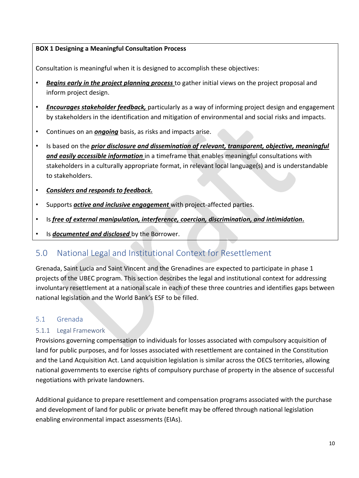### **BOX 1 Designing a Meaningful Consultation Process**

Consultation is meaningful when it is designed to accomplish these objectives:

- *Begins early in the project planning process* to gather initial views on the project proposal and inform project design.
- *Encourages stakeholder feedback,* particularly as a way of informing project design and engagement by stakeholders in the identification and mitigation of environmental and social risks and impacts.
- Continues on an *ongoing* basis, as risks and impacts arise.
- Is based on the *prior disclosure and dissemination of relevant, transparent, objective, meaningful and easily accessible information* in a timeframe that enables meaningful consultations with stakeholders in a culturally appropriate format, in relevant local language(s) and is understandable to stakeholders.
- *Considers and responds to feedback.*
- Supports *active and inclusive engagement* with project-affected parties.
- Is *free of external manipulation, interference, coercion, discrimination, and intimidation.*
- Is *documented and disclosed* by the Borrower.

# <span id="page-10-0"></span>5.0 National Legal and Institutional Context for Resettlement

Grenada, Saint Lucia and Saint Vincent and the Grenadines are expected to participate in phase 1 projects of the UBEC program. This section describes the legal and institutional context for addressing involuntary resettlement at a national scale in each of these three countries and identifies gaps between national legislation and the World Bank's ESF to be filled.

### <span id="page-10-1"></span>5.1 Grenada

### <span id="page-10-2"></span>5.1.1 Legal Framework

Provisions governing compensation to individuals for losses associated with compulsory acquisition of land for public purposes, and for losses associated with resettlement are contained in the Constitution and the Land Acquisition Act. Land acquisition legislation is similar across the OECS territories, allowing national governments to exercise rights of compulsory purchase of property in the absence of successful negotiations with private landowners.

Additional guidance to prepare resettlement and compensation programs associated with the purchase and development of land for public or private benefit may be offered through national legislation enabling environmental impact assessments (EIAs).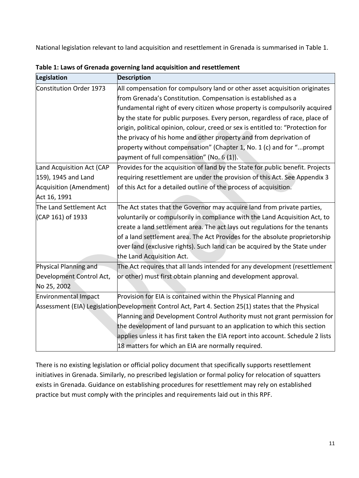National legislation relevant to land acquisition and resettlement in Grenada is summarised in Table 1.

| Legislation                 | <b>Description</b>                                                                                   |
|-----------------------------|------------------------------------------------------------------------------------------------------|
| Constitution Order 1973     | All compensation for compulsory land or other asset acquisition originates                           |
|                             | from Grenada's Constitution. Compensation is established as a                                        |
|                             | fundamental right of every citizen whose property is compulsorily acquired                           |
|                             | by the state for public purposes. Every person, regardless of race, place of                         |
|                             | origin, political opinion, colour, creed or sex is entitled to: "Protection for                      |
|                             | the privacy of his home and other property and from deprivation of                                   |
|                             | property without compensation" (Chapter 1, No. 1 (c) and for "prompt                                 |
|                             | payment of full compensation" (No. $6(1)$ ).                                                         |
| Land Acquisition Act (CAP   | Provides for the acquisition of land by the State for public benefit. Projects                       |
| 159), 1945 and Land         | requiring resettlement are under the provision of this Act. See Appendix 3                           |
| Acquisition (Amendment)     | of this Act for a detailed outline of the process of acquisition.                                    |
| Act 16, 1991                |                                                                                                      |
| The Land Settlement Act     | The Act states that the Governor may acquire land from private parties,                              |
| (CAP 161) of 1933           | voluntarily or compulsorily in compliance with the Land Acquisition Act, to                          |
|                             | create a land settlement area. The act lays out regulations for the tenants                          |
|                             | of a land settlement area. The Act Provides for the absolute proprietorship                          |
|                             | over land (exclusive rights). Such land can be acquired by the State under                           |
|                             | the Land Acquisition Act.                                                                            |
| Physical Planning and       | The Act requires that all lands intended for any development (resettlement                           |
| Development Control Act,    | or other) must first obtain planning and development approval.                                       |
| No 25, 2002                 |                                                                                                      |
| <b>Environmental Impact</b> | Provision for EIA is contained within the Physical Planning and                                      |
|                             | Assessment (EIA) Legislation Development Control Act, Part 4. Section 25(1) states that the Physical |
|                             | Planning and Development Control Authority must not grant permission for                             |
|                             | the development of land pursuant to an application to which this section                             |
|                             | applies unless it has first taken the EIA report into account. Schedule 2 lists                      |
|                             | 18 matters for which an EIA are normally required.                                                   |

**Table 1: Laws of Grenada governing land acquisition and resettlement**

There is no existing legislation or official policy document that specifically supports resettlement initiatives in Grenada. Similarly, no prescribed legislation or formal policy for relocation of squatters exists in Grenada. Guidance on establishing procedures for resettlement may rely on established practice but must comply with the principles and requirements laid out in this RPF.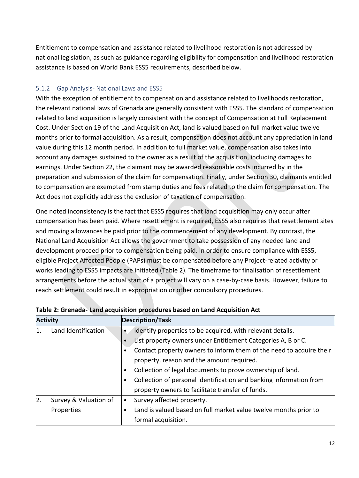Entitlement to compensation and assistance related to livelihood restoration is not addressed by national legislation, as such as guidance regarding eligibility for compensation and livelihood restoration assistance is based on World Bank ESS5 requirements, described below.

### <span id="page-12-0"></span>5.1.2 Gap Analysis- National Laws and ESS5

With the exception of entitlement to compensation and assistance related to livelihoods restoration, the relevant national laws of Grenada are generally consistent with ESS5. The standard of compensation related to land acquisition is largely consistent with the concept of Compensation at Full Replacement Cost. Under Section 19 of the Land Acquisition Act, land is valued based on full market value twelve months prior to formal acquisition. As a result, compensation does not account any appreciation in land value during this 12 month period. In addition to full market value, compensation also takes into account any damages sustained to the owner as a result of the acquisition, including damages to earnings. Under Section 22, the claimant may be awarded reasonable costs incurred by in the preparation and submission of the claim for compensation. Finally, under Section 30, claimants entitled to compensation are exempted from stamp duties and fees related to the claim for compensation. The Act does not explicitly address the exclusion of taxation of compensation.

One noted inconsistency is the fact that ESS5 requires that land acquisition may only occur after compensation has been paid. Where resettlement is required, ESS5 also requires that resettlement sites and moving allowances be paid prior to the commencement of any development. By contrast, the National Land Acquisition Act allows the government to take possession of any needed land and development proceed prior to compensation being paid. In order to ensure compliance with ESS5, eligible Project Affected People (PAPs) must be compensated before any Project-related activity or works leading to ESS5 impacts are initiated (Table 2). The timeframe for finalisation of resettlement arrangements before the actual start of a project will vary on a case-by-case basis. However, failure to reach settlement could result in expropriation or other compulsory procedures.

| <b>Activity</b> |                       | <b>Description/Task</b> |                                                                     |  |
|-----------------|-----------------------|-------------------------|---------------------------------------------------------------------|--|
| 1.              | Land Identification   |                         | Identify properties to be acquired, with relevant details.          |  |
|                 |                       |                         | List property owners under Entitlement Categories A, B or C.        |  |
|                 |                       |                         | Contact property owners to inform them of the need to acquire their |  |
|                 |                       |                         | property, reason and the amount required.                           |  |
|                 |                       | ٠                       | Collection of legal documents to prove ownership of land.           |  |
|                 |                       |                         | Collection of personal identification and banking information from  |  |
|                 |                       |                         | property owners to facilitate transfer of funds.                    |  |
| 2.              | Survey & Valuation of | ٠                       | Survey affected property.                                           |  |
|                 | Properties            |                         | Land is valued based on full market value twelve months prior to    |  |
|                 |                       |                         | formal acquisition.                                                 |  |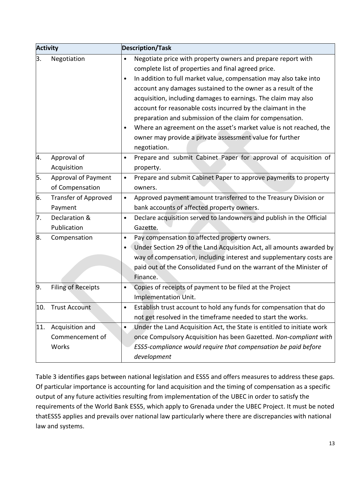| <b>Activity</b> |                             | <b>Description/Task</b> |                                                                        |  |  |
|-----------------|-----------------------------|-------------------------|------------------------------------------------------------------------|--|--|
| 3.              | Negotiation                 | $\bullet$               | Negotiate price with property owners and prepare report with           |  |  |
|                 |                             |                         | complete list of properties and final agreed price.                    |  |  |
|                 |                             | $\bullet$               | In addition to full market value, compensation may also take into      |  |  |
|                 |                             |                         | account any damages sustained to the owner as a result of the          |  |  |
|                 |                             |                         | acquisition, including damages to earnings. The claim may also         |  |  |
|                 |                             |                         | account for reasonable costs incurred by the claimant in the           |  |  |
|                 |                             |                         | preparation and submission of the claim for compensation.              |  |  |
|                 |                             | $\bullet$               | Where an agreement on the asset's market value is not reached, the     |  |  |
|                 |                             |                         | owner may provide a private assessment value for further               |  |  |
|                 |                             |                         | negotiation.                                                           |  |  |
| 4.              | Approval of                 | $\bullet$               | Prepare and submit Cabinet Paper for approval of acquisition of        |  |  |
|                 | Acquisition                 |                         | property.                                                              |  |  |
| 5.              | <b>Approval of Payment</b>  | $\bullet$               | Prepare and submit Cabinet Paper to approve payments to property       |  |  |
|                 | of Compensation             |                         | owners.                                                                |  |  |
| 6.              | <b>Transfer of Approved</b> | $\bullet$               | Approved payment amount transferred to the Treasury Division or        |  |  |
|                 | Payment                     |                         | bank accounts of affected property owners.                             |  |  |
| 7.              | Declaration &               | $\bullet$               | Declare acquisition served to landowners and publish in the Official   |  |  |
|                 | Publication                 |                         | Gazette.                                                               |  |  |
| 8.              | Compensation                | $\bullet$               | Pay compensation to affected property owners.                          |  |  |
|                 |                             | $\bullet$               | Under Section 29 of the Land Acquisition Act, all amounts awarded by   |  |  |
|                 |                             |                         | way of compensation, including interest and supplementary costs are    |  |  |
|                 |                             |                         | paid out of the Consolidated Fund on the warrant of the Minister of    |  |  |
|                 |                             |                         | Finance.                                                               |  |  |
| 9.              | <b>Filing of Receipts</b>   | $\bullet$               | Copies of receipts of payment to be filed at the Project               |  |  |
|                 |                             |                         | <b>Implementation Unit.</b>                                            |  |  |
| 10.             | Trust Account               | ٠                       | Establish trust account to hold any funds for compensation that do     |  |  |
|                 |                             |                         | not get resolved in the timeframe needed to start the works.           |  |  |
| 11.             | Acquisition and             | $\bullet$               | Under the Land Acquisition Act, the State is entitled to initiate work |  |  |
|                 | Commencement of             |                         | once Compulsory Acquisition has been Gazetted. Non-compliant with      |  |  |
|                 | Works                       |                         | ESS5-compliance would require that compensation be paid before         |  |  |
|                 |                             |                         | development                                                            |  |  |

Table 3 identifies gaps between national legislation and ESS5 and offers measures to address these gaps. Of particular importance is accounting for land acquisition and the timing of compensation as a specific output of any future activities resulting from implementation of the UBEC in order to satisfy the requirements of the World Bank ESS5, which apply to Grenada under the UBEC Project. It must be noted thatESS5 applies and prevails over national law particularly where there are discrepancies with national law and systems.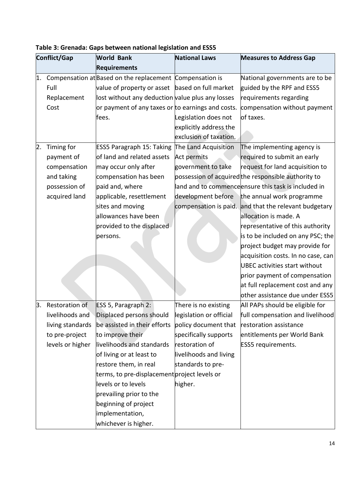|    | Conflict/Gap     | <b>World Bank</b>                                        | <b>National Laws</b>    | <b>Measures to Address Gap</b>                        |
|----|------------------|----------------------------------------------------------|-------------------------|-------------------------------------------------------|
|    |                  | <b>Requirements</b>                                      |                         |                                                       |
| 1. |                  | Compensation at Based on the replacement Compensation is |                         | National governments are to be                        |
|    | Full             | value of property or asset                               | based on full market    | guided by the RPF and ESS5                            |
|    | Replacement      | lost without any deduction value plus any losses         |                         | requirements regarding                                |
|    | Cost             | or payment of any taxes or to earnings and costs.        |                         | compensation without payment                          |
|    |                  | fees.                                                    | Legislation does not    | of taxes.                                             |
|    |                  |                                                          | explicitly address the  |                                                       |
|    |                  |                                                          | exclusion of taxation.  |                                                       |
| 2. | Timing for       | <b>ESS5 Paragraph 15: Taking</b>                         | The Land Acquisition    | The implementing agency is                            |
|    | payment of       | of land and related assets                               | Act permits             | required to submit an early                           |
|    | compensation     | may occur only after                                     | government to take      | request for land acquisition to                       |
|    | and taking       | compensation has been                                    |                         | possession of acquired the responsible authority to   |
|    | possession of    | paid and, where                                          |                         | land and to commence ensure this task is included in  |
|    | acquired land    | applicable, resettlement                                 | development before      | the annual work programme                             |
|    |                  | sites and moving                                         |                         | compensation is paid. and that the relevant budgetary |
|    |                  | allowances have been                                     |                         | allocation is made. A                                 |
|    |                  | provided to the displaced                                |                         | representative of this authority                      |
|    |                  | persons.                                                 |                         | is to be included on any PSC; the                     |
|    |                  |                                                          |                         | project budget may provide for                        |
|    |                  |                                                          |                         | acquisition costs. In no case, can                    |
|    |                  |                                                          |                         | UBEC activities start without                         |
|    |                  |                                                          |                         | prior payment of compensation                         |
|    |                  |                                                          |                         | at full replacement cost and any                      |
|    |                  |                                                          |                         | other assistance due under ESS5                       |
| 3. | Restoration of   | ESS 5, Paragraph 2:                                      | There is no existing    | All PAPs should be eligible for                       |
|    | livelihoods and  | Displaced persons should                                 | legislation or official | full compensation and livelihood                      |
|    | living standards | be assisted in their efforts                             | policy document that    | restoration assistance                                |
|    | to pre-project   | to improve their                                         | specifically supports   | entitlements per World Bank                           |
|    | levels or higher | livelihoods and standards                                | restoration of          | <b>ESS5</b> requirements.                             |
|    |                  | of living or at least to                                 | livelihoods and living  |                                                       |
|    |                  | restore them, in real                                    | standards to pre-       |                                                       |
|    |                  | terms, to pre-displacement project levels or             |                         |                                                       |
|    |                  | levels or to levels                                      | higher.                 |                                                       |
|    |                  | prevailing prior to the                                  |                         |                                                       |
|    |                  | beginning of project                                     |                         |                                                       |
|    |                  | implementation,                                          |                         |                                                       |
|    |                  | whichever is higher.                                     |                         |                                                       |

| Table 3: Grenada: Gaps between national legislation and ESS5 |  |
|--------------------------------------------------------------|--|
|--------------------------------------------------------------|--|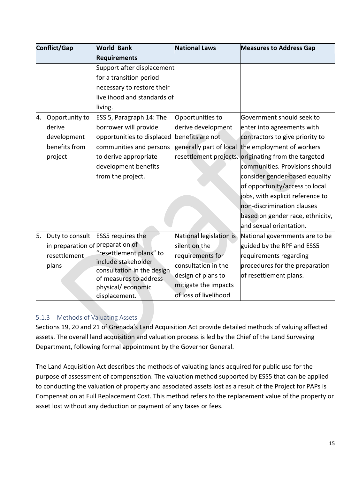| Conflict/Gap |                                  | <b>World Bank</b>                                 | <b>National Laws</b>    | <b>Measures to Address Gap</b>                       |  |
|--------------|----------------------------------|---------------------------------------------------|-------------------------|------------------------------------------------------|--|
|              |                                  | Requirements                                      |                         |                                                      |  |
|              |                                  | Support after displacement                        |                         |                                                      |  |
|              |                                  | for a transition period                           |                         |                                                      |  |
|              |                                  | necessary to restore their                        |                         |                                                      |  |
|              |                                  | livelihood and standards of                       |                         |                                                      |  |
|              |                                  | living.                                           |                         |                                                      |  |
| 4.           | Opportunity to                   | ESS 5, Paragraph 14: The                          | Opportunities to        | Government should seek to                            |  |
|              | derive                           | borrower will provide                             | derive development      | enter into agreements with                           |  |
|              | development                      | opportunities to displaced                        | benefits are not        | contractors to give priority to                      |  |
|              | benefits from                    | communities and persons                           | generally part of local | the employment of workers                            |  |
|              | project                          | to derive appropriate                             |                         | resettlement projects. originating from the targeted |  |
|              |                                  | development benefits                              |                         | communities. Provisions should                       |  |
|              |                                  | from the project.                                 |                         | consider gender-based equality                       |  |
|              |                                  |                                                   |                         | of opportunity/access to local                       |  |
|              |                                  |                                                   |                         | jobs, with explicit reference to                     |  |
|              |                                  |                                                   |                         | non-discrimination clauses                           |  |
|              |                                  |                                                   |                         | based on gender race, ethnicity,                     |  |
|              |                                  |                                                   |                         | and sexual orientation.                              |  |
| 5.           | Duty to consult                  | <b>ESS5</b> requires the                          | National legislation is | National governments are to be                       |  |
|              | in preparation of preparation of |                                                   | silent on the           | guided by the RPF and ESS5                           |  |
|              | resettlement                     | "resettlement plans" to                           | requirements for        | requirements regarding                               |  |
|              | plans                            | include stakeholder<br>consultation in the design | consultation in the     | procedures for the preparation                       |  |
|              |                                  | of measures to address                            | design of plans to      | of resettlement plans.                               |  |
|              |                                  | physical/economic                                 | mitigate the impacts    |                                                      |  |
|              |                                  | displacement.                                     | of loss of livelihood   |                                                      |  |

### <span id="page-15-0"></span>5.1.3 Methods of Valuating Assets

Sections 19, 20 and 21 of Grenada's Land Acquisition Act provide detailed methods of valuing affected assets. The overall land acquisition and valuation process is led by the Chief of the Land Surveying Department, following formal appointment by the Governor General.

The Land Acquisition Act describes the methods of valuating lands acquired for public use for the purpose of assessment of compensation. The valuation method supported by ESS5 that can be applied to conducting the valuation of property and associated assets lost as a result of the Project for PAPs is Compensation at Full Replacement Cost. This method refers to the replacement value of the property or asset lost without any deduction or payment of any taxes or fees.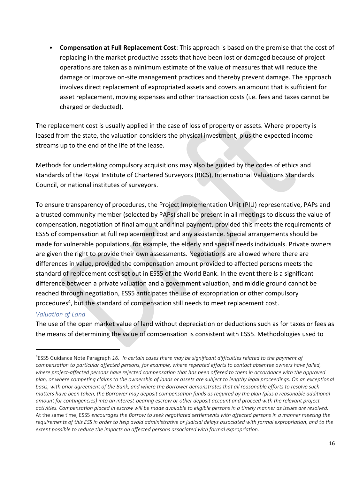• **Compensation at Full Replacement Cost**: This approach is based on the premise that the cost of replacing in the market productive assets that have been lost or damaged because of project operations are taken as a minimum estimate of the value of measures that will reduce the damage or improve on-site management practices and thereby prevent damage. The approach involves direct replacement of expropriated assets and covers an amount that is sufficient for asset replacement, moving expenses and other transaction costs (i.e. fees and taxes cannot be charged or deducted).

The replacement cost is usually applied in the case of loss of property or assets. Where property is leased from the state, the valuation considers the physical investment, plus the expected income streams up to the end of the life of the lease.

Methods for undertaking compulsory acquisitions may also be guided by the codes of ethics and standards of the Royal Institute of Chartered Surveyors (RICS), International Valuations Standards Council, or national institutes of surveyors.

To ensure transparency of procedures, the Project Implementation Unit (PIU) representative, PAPs and a trusted community member (selected by PAPs) shall be present in all meetings to discuss the value of compensation, negotiation of final amount and final payment, provided this meets the requirements of ESS5 of compensation at full replacement cost and any assistance. Special arrangements should be made for vulnerable populations, for example, the elderly and special needs individuals. Private owners are given the right to provide their own assessments. Negotiations are allowed where there are differences in value, provided the compensation amount provided to affected persons meets the standard of replacement cost set out in ESS5 of the World Bank. In the event there is a significant difference between a private valuation and a government valuation, and middle ground cannot be reached through negotiation, ESS5 anticipates the use of expropriation or other compulsory procedures<sup>4</sup>, but the standard of compensation still needs to meet replacement cost.

### *Valuation of Land*

 $\overline{a}$ 

The use of the open market value of land without depreciation or deductions such as for taxes or fees as the means of determining the value of compensation is consistent with ESS5. Methodologies used to

<sup>4</sup>ESS5 Guidance Note Paragraph *16. In certain cases there may be significant difficulties related to the payment of compensation to particular affected persons, for example, where repeated efforts to contact absentee owners have failed, where project-affected persons have rejected compensation that has been offered to them in accordance with the approved plan, or where competing claims to the ownership of lands or assets are subject to lengthy legal proceedings. On an exceptional basis, with prior agreement of the Bank, and where the Borrower demonstrates that all reasonable efforts to resolve such matters have been taken, the Borrower may deposit compensation funds as required by the plan (plus a reasonable additional amount for contingencies) into an interest-bearing escrow or other deposit account and proceed with the relevant project activities. Compensation placed in escrow will be made available to eligible persons in a timely manner as issues are resolved.* At the same time, ESS5 *encourages the Borrow to seek negotiated settlements with affected persons in a manner meeting the requirements of this ESS in order to help avoid administrative or judicial delays associated with formal expropriation, and to the extent possible to reduce the impacts on affected persons associated with formal expropriation.*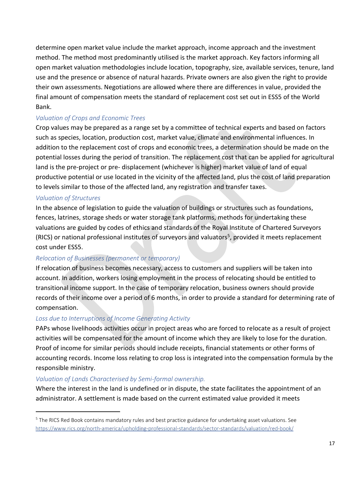determine open market value include the market approach, income approach and the investment method. The method most predominantly utilised is the market approach. Key factors informing all open market valuation methodologies include location, topography, size, available services, tenure, land use and the presence or absence of natural hazards. Private owners are also given the right to provide their own assessments. Negotiations are allowed where there are differences in value, provided the final amount of compensation meets the standard of replacement cost set out in ESS5 of the World Bank.

### *Valuation of Crops and Economic Trees*

Crop values may be prepared as a range set by a committee of technical experts and based on factors such as species, location, production cost, market value, climate and environmental influences. In addition to the replacement cost of crops and economic trees, a determination should be made on the potential losses during the period of transition. The replacement cost that can be applied for agricultural land is the pre-project or pre- displacement (whichever is higher) market value of land of equal productive potential or use located in the vicinity of the affected land, plus the cost of land preparation to levels similar to those of the affected land, any registration and transfer taxes.

### *Valuation of Structures*

 $\overline{a}$ 

In the absence of legislation to guide the valuation of buildings or structures such as foundations, fences, latrines, storage sheds or water storage tank platforms, methods for undertaking these valuations are guided by codes of ethics and standards of the Royal Institute of Chartered Surveyors (RICS) or national professional institutes of surveyors and valuators<sup>5</sup>, provided it meets replacement cost under ESS5.

### *Relocation of Businesses (permanent or temporary)*

If relocation of business becomes necessary, access to customers and suppliers will be taken into account. In addition, workers losing employment in the process of relocating should be entitled to transitional income support. In the case of temporary relocation, business owners should provide records of their income over a period of 6 months, in order to provide a standard for determining rate of compensation.

### *Loss due to Interruptions of Income Generating Activity*

PAPs whose livelihoods activities occur in project areas who are forced to relocate as a result of project activities will be compensated for the amount of income which they are likely to lose for the duration. Proof of income for similar periods should include receipts, financial statements or other forms of accounting records. Income loss relating to crop loss is integrated into the compensation formula by the responsible ministry.

#### *Valuation of Lands Characterised by Semi-formal ownership.*

Where the interest in the land is undefined or in dispute, the state facilitates the appointment of an administrator. A settlement is made based on the current estimated value provided it meets

<sup>&</sup>lt;sup>5</sup> The RICS Red Book contains mandatory rules and best practice guidance for undertaking asset valuations. See https://www.rics.org/north-america/upholding-professional-standards/sector-standards/valuation/red-book/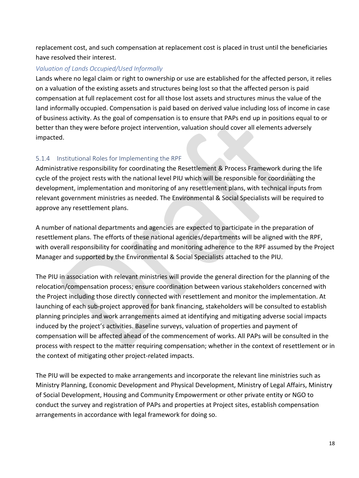replacement cost, and such compensation at replacement cost is placed in trust until the beneficiaries have resolved their interest.

#### *Valuation of Lands Occupied/Used Informally*

Lands where no legal claim or right to ownership or use are established for the affected person, it relies on a valuation of the existing assets and structures being lost so that the affected person is paid compensation at full replacement cost for all those lost assets and structures minus the value of the land informally occupied. Compensation is paid based on derived value including loss of income in case of business activity. As the goal of compensation is to ensure that PAPs end up in positions equal to or better than they were before project intervention, valuation should cover all elements adversely impacted.

### <span id="page-18-0"></span>5.1.4 Institutional Roles for Implementing the RPF

Administrative responsibility for coordinating the Resettlement & Process Framework during the life cycle of the project rests with the national level PIU which will be responsible for coordinating the development, implementation and monitoring of any resettlement plans, with technical inputs from relevant government ministries as needed. The Environmental & Social Specialists will be required to approve any resettlement plans.

A number of national departments and agencies are expected to participate in the preparation of resettlement plans. The efforts of these national agencies/departments will be aligned with the RPF, with overall responsibility for coordinating and monitoring adherence to the RPF assumed by the Project Manager and supported by the Environmental & Social Specialists attached to the PIU.

The PIU in association with relevant ministries will provide the general direction for the planning of the relocation/compensation process; ensure coordination between various stakeholders concerned with the Project including those directly connected with resettlement and monitor the implementation. At launching of each sub-project approved for bank financing, stakeholders will be consulted to establish planning principles and work arrangements aimed at identifying and mitigating adverse social impacts induced by the project's activities. Baseline surveys, valuation of properties and payment of compensation will be affected ahead of the commencement of works. All PAPs will be consulted in the process with respect to the matter requiring compensation; whether in the context of resettlement or in the context of mitigating other project-related impacts.

The PIU will be expected to make arrangements and incorporate the relevant line ministries such as Ministry Planning, Economic Development and Physical Development, Ministry of Legal Affairs, Ministry of Social Development, Housing and Community Empowerment or other private entity or NGO to conduct the survey and registration of PAPs and properties at Project sites, establish compensation arrangements in accordance with legal framework for doing so.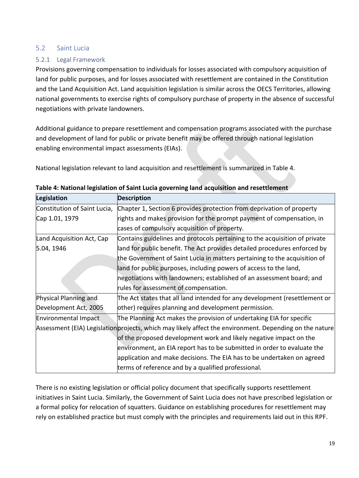### <span id="page-19-0"></span>5.2 Saint Lucia

### <span id="page-19-1"></span>5.2.1 Legal Framework

Provisions governing compensation to individuals for losses associated with compulsory acquisition of land for public purposes, and for losses associated with resettlement are contained in the Constitution and the Land Acquisition Act. Land acquisition legislation is similar across the OECS Territories, allowing national governments to exercise rights of compulsory purchase of property in the absence of successful negotiations with private landowners.

Additional guidance to prepare resettlement and compensation programs associated with the purchase and development of land for public or private benefit may be offered through national legislation enabling environmental impact assessments (EIAs).

National legislation relevant to land acquisition and resettlement is summarized in Table 4.

| Legislation                  | <b>Description</b>                                                                                      |  |  |
|------------------------------|---------------------------------------------------------------------------------------------------------|--|--|
| Constitution of Saint Lucia, | Chapter 1, Section 6 provides protection from deprivation of property                                   |  |  |
| Cap 1.01, 1979               | rights and makes provision for the prompt payment of compensation, in                                   |  |  |
|                              | cases of compulsory acquisition of property.                                                            |  |  |
| Land Acquisition Act, Cap    | Contains guidelines and protocols pertaining to the acquisition of private                              |  |  |
| 5.04, 1946                   | land for public benefit. The Act provides detailed procedures enforced by                               |  |  |
|                              | the Government of Saint Lucia in matters pertaining to the acquisition of                               |  |  |
|                              | land for public purposes, including powers of access to the land,                                       |  |  |
|                              | negotiations with landowners; established of an assessment board; and                                   |  |  |
|                              | rules for assessment of compensation.                                                                   |  |  |
| Physical Planning and        | The Act states that all land intended for any development (resettlement or                              |  |  |
| Development Act, 2005        | other) requires planning and development permission.                                                    |  |  |
| Environmental Impact         | The Planning Act makes the provision of undertaking EIA for specific                                    |  |  |
|                              | Assessment (EIA) Legislation projects, which may likely affect the environment. Depending on the nature |  |  |
|                              | of the proposed development work and likely negative impact on the                                      |  |  |
|                              | environment, an EIA report has to be submitted in order to evaluate the                                 |  |  |
|                              | application and make decisions. The EIA has to be undertaken on agreed                                  |  |  |
|                              | terms of reference and by a qualified professional.                                                     |  |  |

| Table 4: National legislation of Saint Lucia governing land acquisition and resettlement |  |  |  |
|------------------------------------------------------------------------------------------|--|--|--|
|------------------------------------------------------------------------------------------|--|--|--|

There is no existing legislation or official policy document that specifically supports resettlement initiatives in Saint Lucia. Similarly, the Government of Saint Lucia does not have prescribed legislation or a formal policy for relocation of squatters. Guidance on establishing procedures for resettlement may rely on established practice but must comply with the principles and requirements laid out in this RPF.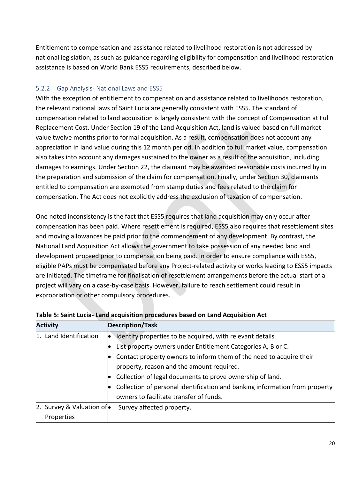Entitlement to compensation and assistance related to livelihood restoration is not addressed by national legislation, as such as guidance regarding eligibility for compensation and livelihood restoration assistance is based on World Bank ESS5 requirements, described below.

### <span id="page-20-0"></span>5.2.2 Gap Analysis- National Laws and ESS5

With the exception of entitlement to compensation and assistance related to livelihoods restoration, the relevant national laws of Saint Lucia are generally consistent with ESS5. The standard of compensation related to land acquisition is largely consistent with the concept of Compensation at Full Replacement Cost. Under Section 19 of the Land Acquisition Act, land is valued based on full market value twelve months prior to formal acquisition. As a result, compensation does not account any appreciation in land value during this 12 month period. In addition to full market value, compensation also takes into account any damages sustained to the owner as a result of the acquisition, including damages to earnings. Under Section 22, the claimant may be awarded reasonable costs incurred by in the preparation and submission of the claim for compensation. Finally, under Section 30, claimants entitled to compensation are exempted from stamp duties and fees related to the claim for compensation. The Act does not explicitly address the exclusion of taxation of compensation.

One noted inconsistency is the fact that ESS5 requires that land acquisition may only occur after compensation has been paid. Where resettlement is required, ESS5 also requires that resettlement sites and moving allowances be paid prior to the commencement of any development. By contrast, the National Land Acquisition Act allows the government to take possession of any needed land and development proceed prior to compensation being paid. In order to ensure compliance with ESS5, eligible PAPs must be compensated before any Project-related activity or works leading to ESS5 impacts are initiated. The timeframe for finalisation of resettlement arrangements before the actual start of a project will vary on a case-by-case basis. However, failure to reach settlement could result in expropriation or other compulsory procedures.

| <b>Activity</b>                    | <b>Description/Task</b>                                                     |
|------------------------------------|-----------------------------------------------------------------------------|
| 1. Land Identification             | Identify properties to be acquired, with relevant details                   |
|                                    | List property owners under Entitlement Categories A, B or C.                |
|                                    | Contact property owners to inform them of the need to acquire their         |
|                                    | property, reason and the amount required.                                   |
|                                    | Collection of legal documents to prove ownership of land.                   |
|                                    | Collection of personal identification and banking information from property |
|                                    | owners to facilitate transfer of funds.                                     |
| 2. Survey & Valuation of $\bullet$ | Survey affected property.                                                   |
| Properties                         |                                                                             |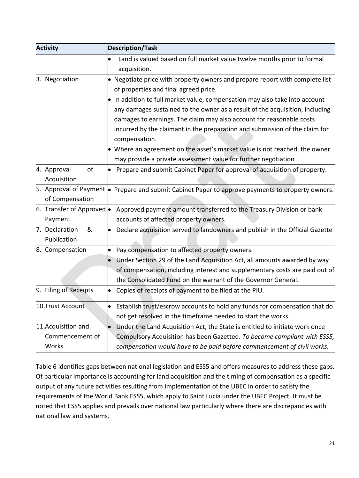| <b>Activity</b>                   | <b>Description/Task</b>                                                                                   |
|-----------------------------------|-----------------------------------------------------------------------------------------------------------|
|                                   | Land is valued based on full market value twelve months prior to formal                                   |
|                                   | acquisition.                                                                                              |
| 3. Negotiation                    | Negotiate price with property owners and prepare report with complete list                                |
|                                   | of properties and final agreed price.                                                                     |
|                                   | In addition to full market value, compensation may also take into account                                 |
|                                   | any damages sustained to the owner as a result of the acquisition, including                              |
|                                   | damages to earnings. The claim may also account for reasonable costs                                      |
|                                   | incurred by the claimant in the preparation and submission of the claim for                               |
|                                   | compensation.                                                                                             |
|                                   | Where an agreement on the asset's market value is not reached, the owner                                  |
|                                   | may provide a private assessment value for further negotiation                                            |
| of<br>4. Approval                 | Prepare and submit Cabinet Paper for approval of acquisition of property.                                 |
| Acquisition                       |                                                                                                           |
|                                   | 5. Approval of Payment $\bullet$ Prepare and submit Cabinet Paper to approve payments to property owners. |
| of Compensation                   |                                                                                                           |
| 6. Transfer of Approved $\bullet$ | Approved payment amount transferred to the Treasury Division or bank                                      |
| Payment                           | accounts of affected property owners.                                                                     |
| 7. Declaration<br>&               | Declare acquisition served to landowners and publish in the Official Gazette                              |
| Publication                       |                                                                                                           |
| 8. Compensation                   | Pay compensation to affected property owners.                                                             |
|                                   | Under Section 29 of the Land Acquisition Act, all amounts awarded by way                                  |
|                                   | of compensation, including interest and supplementary costs are paid out of                               |
|                                   | the Consolidated Fund on the warrant of the Governor General.                                             |
| 9. Filing of Receipts             | Copies of receipts of payment to be filed at the PIU.                                                     |
| 10.Trust Account                  | Establish trust/escrow accounts to hold any funds for compensation that do                                |
|                                   | not get resolved in the timeframe needed to start the works.                                              |
| 11.Acquisition and                | Under the Land Acquisition Act, the State is entitled to initiate work once                               |
| Commencement of                   | Compulsory Acquisition has been Gazetted. To become compliant with ESS5,                                  |
| Works                             | compensation would have to be paid before commencement of civil works.                                    |

Table 6 identifies gaps between national legislation and ESS5 and offers measures to address these gaps. Of particular importance is accounting for land acquisition and the timing of compensation as a specific output of any future activities resulting from implementation of the UBEC in order to satisfy the requirements of the World Bank ESS5, which apply to Saint Lucia under the UBEC Project. It must be noted that ESS5 applies and prevails over national law particularly where there are discrepancies with national law and systems.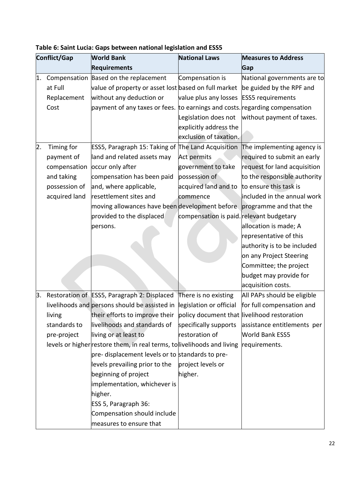| Conflict/Gap |               | <b>World Bank</b>                                                                               | <b>National Laws</b>                     | <b>Measures to Address</b>   |
|--------------|---------------|-------------------------------------------------------------------------------------------------|------------------------------------------|------------------------------|
|              |               | <b>Requirements</b>                                                                             |                                          | Gap                          |
| 1.           | Compensation  | Based on the replacement                                                                        | Compensation is                          | National governments are to  |
|              | at Full       | $\alpha$ value of property or asset lost based on full market $\alpha$ be guided by the RPF and |                                          |                              |
|              | Replacement   | without any deduction or                                                                        | value plus any losses ESS5 requirements  |                              |
|              | Cost          | payment of any taxes or fees. to earnings and costs. regarding compensation                     |                                          |                              |
|              |               |                                                                                                 | Legislation does not                     | without payment of taxes.    |
|              |               |                                                                                                 | explicitly address the                   |                              |
|              |               |                                                                                                 | exclusion of taxation.                   |                              |
| 2.           | Timing for    | ESS5, Paragraph 15: Taking of The Land Acquisition                                              |                                          | The implementing agency is   |
|              | payment of    | land and related assets may                                                                     | Act permits                              | required to submit an early  |
|              | compensation  | occur only after                                                                                | government to take                       | request for land acquisition |
|              | and taking    | compensation has been paid                                                                      | possession of                            | to the responsible authority |
|              | possession of | and, where applicable,                                                                          | acquired land and to                     | to ensure this task is       |
|              | acquired land | resettlement sites and                                                                          | commence                                 | included in the annual work  |
|              |               | moving allowances have been development before programme and that the                           |                                          |                              |
|              |               | provided to the displaced                                                                       | compensation is paid. relevant budgetary |                              |
|              |               | persons.                                                                                        |                                          | allocation is made; A        |
|              |               |                                                                                                 |                                          | representative of this       |
|              |               |                                                                                                 |                                          | authority is to be included  |
|              |               |                                                                                                 |                                          | on any Project Steering      |
|              |               |                                                                                                 |                                          | Committee; the project       |
|              |               |                                                                                                 |                                          | budget may provide for       |
|              |               |                                                                                                 |                                          | acquisition costs.           |
| 3.           |               | Restoration of ESS5, Paragraph 2: Displaced There is no existing                                |                                          | All PAPs should be eligible  |
|              |               | livelihoods and persons should be assisted in legislation or official                           |                                          | for full compensation and    |
|              | living        | their efforts to improve their policy document that livelihood restoration                      |                                          |                              |
|              | standards to  | livelihoods and standards of                                                                    | specifically supports                    | assistance entitlements per  |
|              | pre-project   | living or at least to                                                                           | restoration of                           | <b>World Bank ESS5</b>       |
|              |               | levels or higher restore them, in real terms, to livelihoods and living                         |                                          | requirements.                |
|              |               | pre- displacement levels or to standards to pre-                                                |                                          |                              |
|              |               | levels prevailing prior to the                                                                  | project levels or                        |                              |
|              |               | beginning of project                                                                            | higher.                                  |                              |
|              |               | implementation, whichever is                                                                    |                                          |                              |
|              |               | higher.                                                                                         |                                          |                              |
|              |               | ESS 5, Paragraph 36:                                                                            |                                          |                              |
|              |               | Compensation should include                                                                     |                                          |                              |
|              |               | measures to ensure that                                                                         |                                          |                              |

**Table 6: Saint Lucia: Gaps between national legislation and ESS5**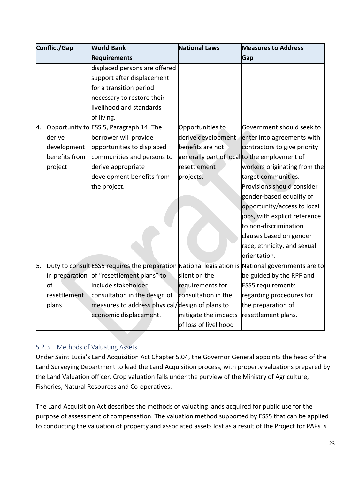| Conflict/Gap |                | <b>World Bank</b>                                                                                 | <b>National Laws</b>  | <b>Measures to Address</b>                   |
|--------------|----------------|---------------------------------------------------------------------------------------------------|-----------------------|----------------------------------------------|
|              |                | <b>Requirements</b>                                                                               |                       | Gap                                          |
|              |                | displaced persons are offered                                                                     |                       |                                              |
|              |                | support after displacement                                                                        |                       |                                              |
|              |                | for a transition period                                                                           |                       |                                              |
|              |                | necessary to restore their                                                                        |                       |                                              |
|              |                | livelihood and standards                                                                          |                       |                                              |
|              |                | of living.                                                                                        |                       |                                              |
| 4.           |                | Opportunity to ESS 5, Paragraph 14: The                                                           | Opportunities to      | Government should seek to                    |
|              | derive         | borrower will provide                                                                             | derive development    | enter into agreements with                   |
|              | development    | opportunities to displaced                                                                        | benefits are not      | contractors to give priority                 |
|              | benefits from  | communities and persons to                                                                        |                       | generally part of local to the employment of |
|              | project        | derive appropriate                                                                                | resettlement          | workers originating from the                 |
|              |                | development benefits from                                                                         | projects.             | target communities.                          |
|              |                | the project.                                                                                      |                       | Provisions should consider                   |
|              |                |                                                                                                   |                       | gender-based equality of                     |
|              |                |                                                                                                   |                       | opportunity/access to local                  |
|              |                |                                                                                                   |                       | jobs, with explicit reference                |
|              |                |                                                                                                   |                       | to non-discrimination                        |
|              |                |                                                                                                   |                       | clauses based on gender                      |
|              |                |                                                                                                   |                       | race, ethnicity, and sexual                  |
|              |                |                                                                                                   |                       | orientation.                                 |
| 5.           |                | Duty to consult ESS5 requires the preparation National legislation is National governments are to |                       |                                              |
|              | in preparation | of "resettlement plans" to                                                                        | silent on the         | be guided by the RPF and                     |
|              | of             | include stakeholder                                                                               | requirements for      | <b>ESS5</b> requirements                     |
|              | resettlement   | consultation in the design of                                                                     | consultation in the   | regarding procedures for                     |
|              | plans          | measures to address physical/design of plans to                                                   |                       | the preparation of                           |
|              |                | economic displacement.                                                                            | mitigate the impacts  | resettlement plans.                          |
|              |                |                                                                                                   | of loss of livelihood |                                              |

### <span id="page-23-0"></span>5.2.3 Methods of Valuating Assets

Under Saint Lucia's Land Acquisition Act Chapter 5.04, the Governor General appoints the head of the Land Surveying Department to lead the Land Acquisition process, with property valuations prepared by the Land Valuation officer. Crop valuation falls under the purview of the Ministry of Agriculture, Fisheries, Natural Resources and Co-operatives.

The Land Acquisition Act describes the methods of valuating lands acquired for public use for the purpose of assessment of compensation. The valuation method supported by ESS5 that can be applied to conducting the valuation of property and associated assets lost as a result of the Project for PAPs is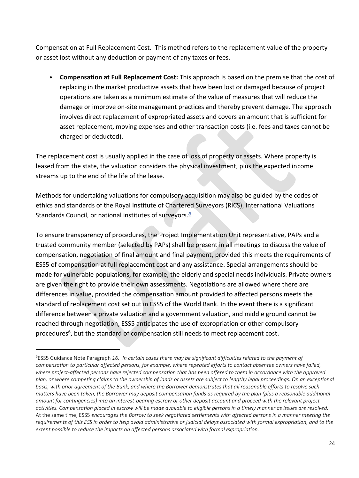Compensation at Full Replacement Cost. This method refers to the replacement value of the property or asset lost without any deduction or payment of any taxes or fees.

• **Compensation at Full Replacement Cost:** This approach is based on the premise that the cost of replacing in the market productive assets that have been lost or damaged because of project operations are taken as a minimum estimate of the value of measures that will reduce the damage or improve on-site management practices and thereby prevent damage. The approach involves direct replacement of expropriated assets and covers an amount that is sufficient for asset replacement, moving expenses and other transaction costs (i.e. fees and taxes cannot be charged or deducted).

The replacement cost is usually applied in the case of loss of property or assets. Where property is leased from the state, the valuation considers the physical investment, plus the expected income streams up to the end of the life of the lease.

Methods for undertaking valuations for compulsory acquisition may also be guided by the codes of ethics and standards of the Royal Institute of Chartered Surveyors (RICS), International Valuations Standards Council, or national institutes of surveyors.

To ensure transparency of procedures, the Project Implementation Unit representative, PAPs and a trusted community member (selected by PAPs) shall be present in all meetings to discuss the value of compensation, negotiation of final amount and final payment, provided this meets the requirements of ESS5 of compensation at full replacement cost and any assistance. Special arrangements should be made for vulnerable populations, for example, the elderly and special needs individuals. Private owners are given the right to provide their own assessments. Negotiations are allowed where there are differences in value, provided the compensation amount provided to affected persons meets the standard of replacement cost set out in ESS5 of the World Bank. In the event there is a significant difference between a private valuation and a government valuation, and middle ground cannot be reached through negotiation, ESS5 anticipates the use of expropriation or other compulsory procedures<sup>6</sup>, but the standard of compensation still needs to meet replacement cost.

<sup>6</sup>ESS5 Guidance Note Paragraph *16. In certain cases there may be significant difficulties related to the payment of compensation to particular affected persons, for example, where repeated efforts to contact absentee owners have failed, where project-affected persons have rejected compensation that has been offered to them in accordance with the approved plan, or where competing claims to the ownership of lands or assets are subject to lengthy legal proceedings. On an exceptional basis, with prior agreement of the Bank, and where the Borrower demonstrates that all reasonable efforts to resolve such matters have been taken, the Borrower may deposit compensation funds as required by the plan (plus a reasonable additional amount for contingencies) into an interest-bearing escrow or other deposit account and proceed with the relevant project activities. Compensation placed in escrow will be made available to eligible persons in a timely manner as issues are resolved.* At the same time, ESS5 *encourages the Borrow to seek negotiated settlements with affected persons in a manner meeting the requirements of this ESS in order to help avoid administrative or judicial delays associated with formal expropriation, and to the extent possible to reduce the impacts on affected persons associated with formal expropriation.*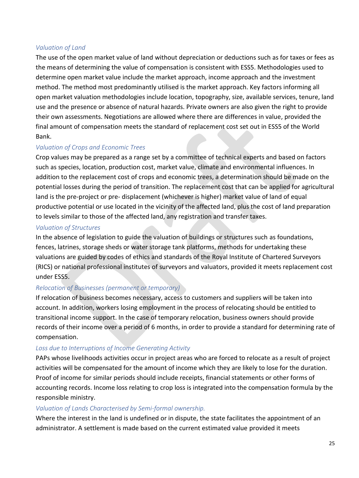#### *Valuation of Land*

The use of the open market value of land without depreciation or deductions such as for taxes or fees as the means of determining the value of compensation is consistent with ESS5. Methodologies used to determine open market value include the market approach, income approach and the investment method. The method most predominantly utilised is the market approach. Key factors informing all open market valuation methodologies include location, topography, size, available services, tenure, land use and the presence or absence of natural hazards. Private owners are also given the right to provide their own assessments. Negotiations are allowed where there are differences in value, provided the final amount of compensation meets the standard of replacement cost set out in ESS5 of the World Bank.

### *Valuation of Crops and Economic Trees*

Crop values may be prepared as a range set by a committee of technical experts and based on factors such as species, location, production cost, market value, climate and environmental influences. In addition to the replacement cost of crops and economic trees, a determination should be made on the potential losses during the period of transition. The replacement cost that can be applied for agricultural land is the pre-project or pre- displacement (whichever is higher) market value of land of equal productive potential or use located in the vicinity of the affected land, plus the cost of land preparation to levels similar to those of the affected land, any registration and transfer taxes.

### *Valuation of Structures*

In the absence of legislation to guide the valuation of buildings or structures such as foundations, fences, latrines, storage sheds or water storage tank platforms, methods for undertaking these valuations are guided by codes of ethics and standards of the Royal Institute of Chartered Surveyors (RICS) or national professional institutes of surveyors and valuators, provided it meets replacement cost under ESS5.

### *Relocation of Businesses (permanent or temporary)*

If relocation of business becomes necessary, access to customers and suppliers will be taken into account. In addition, workers losing employment in the process of relocating should be entitled to transitional income support. In the case of temporary relocation, business owners should provide records of their income over a period of 6 months, in order to provide a standard for determining rate of compensation.

### *Loss due to Interruptions of Income Generating Activity*

PAPs whose livelihoods activities occur in project areas who are forced to relocate as a result of project activities will be compensated for the amount of income which they are likely to lose for the duration. Proof of income for similar periods should include receipts, financial statements or other forms of accounting records. Income loss relating to crop loss is integrated into the compensation formula by the responsible ministry.

### *Valuation of Lands Characterised by Semi-formal ownership.*

Where the interest in the land is undefined or in dispute, the state facilitates the appointment of an administrator. A settlement is made based on the current estimated value provided it meets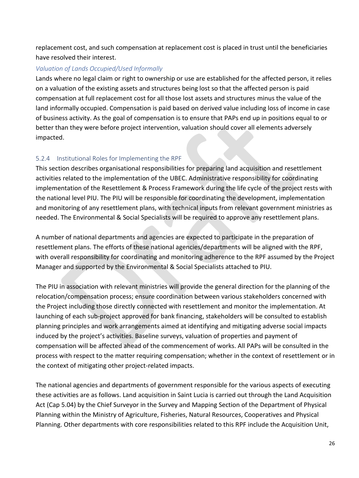replacement cost, and such compensation at replacement cost is placed in trust until the beneficiaries have resolved their interest.

#### *Valuation of Lands Occupied/Used Informally*

Lands where no legal claim or right to ownership or use are established for the affected person, it relies on a valuation of the existing assets and structures being lost so that the affected person is paid compensation at full replacement cost for all those lost assets and structures minus the value of the land informally occupied. Compensation is paid based on derived value including loss of income in case of business activity. As the goal of compensation is to ensure that PAPs end up in positions equal to or better than they were before project intervention, valuation should cover all elements adversely impacted.

### <span id="page-26-0"></span>5.2.4 Institutional Roles for Implementing the RPF

This section describes organisational responsibilities for preparing land acquisition and resettlement activities related to the implementation of the UBEC. Administrative responsibility for coordinating implementation of the Resettlement & Process Framework during the life cycle of the project rests with the national level PIU. The PIU will be responsible for coordinating the development, implementation and monitoring of any resettlement plans, with technical inputs from relevant government ministries as needed. The Environmental & Social Specialists will be required to approve any resettlement plans.

A number of national departments and agencies are expected to participate in the preparation of resettlement plans. The efforts of these national agencies/departments will be aligned with the RPF, with overall responsibility for coordinating and monitoring adherence to the RPF assumed by the Project Manager and supported by the Environmental & Social Specialists attached to PIU.

The PIU in association with relevant ministries will provide the general direction for the planning of the relocation/compensation process; ensure coordination between various stakeholders concerned with the Project including those directly connected with resettlement and monitor the implementation. At launching of each sub-project approved for bank financing, stakeholders will be consulted to establish planning principles and work arrangements aimed at identifying and mitigating adverse social impacts induced by the project's activities. Baseline surveys, valuation of properties and payment of compensation will be affected ahead of the commencement of works. All PAPs will be consulted in the process with respect to the matter requiring compensation; whether in the context of resettlement or in the context of mitigating other project-related impacts.

The national agencies and departments of government responsible for the various aspects of executing these activities are as follows. Land acquisition in Saint Lucia is carried out through the Land Acquisition Act (Cap 5.04) by the Chief Surveyor in the Survey and Mapping Section of the Department of Physical Planning within the Ministry of Agriculture, Fisheries, Natural Resources, Cooperatives and Physical Planning. Other departments with core responsibilities related to this RPF include the Acquisition Unit,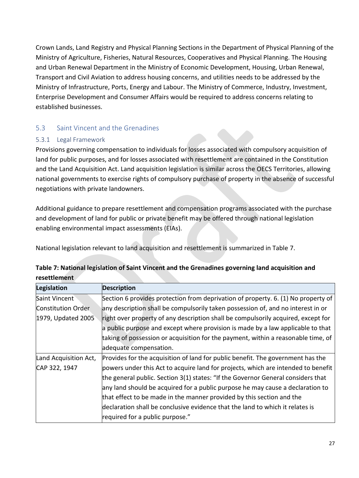Crown Lands, Land Registry and Physical Planning Sections in the Department of Physical Planning of the Ministry of Agriculture, Fisheries, Natural Resources, Cooperatives and Physical Planning. The Housing and Urban Renewal Department in the Ministry of Economic Development, Housing, Urban Renewal, Transport and Civil Aviation to address housing concerns, and utilities needs to be addressed by the Ministry of Infrastructure, Ports, Energy and Labour. The Ministry of Commerce, Industry, Investment, Enterprise Development and Consumer Affairs would be required to address concerns relating to established businesses.

### <span id="page-27-0"></span>5.3 Saint Vincent and the Grenadines

### <span id="page-27-1"></span>5.3.1 Legal Framework

Provisions governing compensation to individuals for losses associated with compulsory acquisition of land for public purposes, and for losses associated with resettlement are contained in the Constitution and the Land Acquisition Act. Land acquisition legislation is similar across the OECS Territories, allowing national governments to exercise rights of compulsory purchase of property in the absence of successful negotiations with private landowners.

Additional guidance to prepare resettlement and compensation programs associated with the purchase and development of land for public or private benefit may be offered through national legislation enabling environmental impact assessments (EIAs).

National legislation relevant to land acquisition and resettlement is summarized in Table 7.

| Legislation           | <b>Description</b>                                                                |
|-----------------------|-----------------------------------------------------------------------------------|
| Saint Vincent         | Section 6 provides protection from deprivation of property. 6. (1) No property of |
| Constitution Order    | any description shall be compulsorily taken possession of, and no interest in or  |
| 1979, Updated 2005    | right over property of any description shall be compulsorily acquired, except for |
|                       | a public purpose and except where provision is made by a law applicable to that   |
|                       | taking of possession or acquisition for the payment, within a reasonable time, of |
|                       | adequate compensation.                                                            |
| Land Acquisition Act, | Provides for the acquisition of land for public benefit. The government has the   |
| CAP 322, 1947         | powers under this Act to acquire land for projects, which are intended to benefit |
|                       | the general public. Section 3(1) states: "If the Governor General considers that  |
|                       | any land should be acquired for a public purpose he may cause a declaration to    |
|                       | that effect to be made in the manner provided by this section and the             |
|                       | declaration shall be conclusive evidence that the land to which it relates is     |
|                       | required for a public purpose."                                                   |

| Table 7: National legislation of Saint Vincent and the Grenadines governing land acquisition and |  |  |
|--------------------------------------------------------------------------------------------------|--|--|
| resettlement                                                                                     |  |  |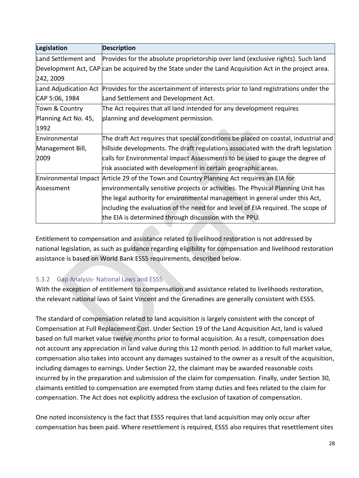| Legislation           | <b>Description</b>                                                                                    |
|-----------------------|-------------------------------------------------------------------------------------------------------|
| Land Settlement and   | Provides for the absolute proprietorship over land (exclusive rights). Such land                      |
|                       | Development Act, CAP can be acquired by the State under the Land Acquisition Act in the project area. |
| 242, 2009             |                                                                                                       |
| Land Adjudication Act | Provides for the ascertainment of interests prior to land registrations under the                     |
| CAP 5:06, 1984        | Land Settlement and Development Act.                                                                  |
| Town & Country        | The Act requires that all land intended for any development requires                                  |
| Planning Act No. 45,  | planning and development permission.                                                                  |
| 1992                  |                                                                                                       |
| Environmental         | The draft Act requires that special conditions be placed on coastal, industrial and                   |
| Management Bill,      | hillside developments. The draft regulations associated with the draft legislation                    |
| 2009                  | calls for Environmental Impact Assessments to be used to gauge the degree of                          |
|                       | risk associated with development in certain geographic areas.                                         |
|                       | Environmental Impact Article 29 of the Town and Country Planning Act requires an EIA for              |
| Assessment            | environmentally sensitive projects or activities. The Physical Planning Unit has                      |
|                       | the legal authority for environmental management in general under this Act,                           |
|                       | including the evaluation of the need for and level of EIA required. The scope of                      |
|                       | the EIA is determined through discussion with the PPU.                                                |

Entitlement to compensation and assistance related to livelihood restoration is not addressed by national legislation, as such as guidance regarding eligibility for compensation and livelihood restoration assistance is based on World Bank ESS5 requirements, described below.

### <span id="page-28-0"></span>5.3.2 Gap Analysis- National Laws and ESS5

With the exception of entitlement to compensation and assistance related to livelihoods restoration, the relevant national laws of Saint Vincent and the Grenadines are generally consistent with ESS5.

The standard of compensation related to land acquisition is largely consistent with the concept of Compensation at Full Replacement Cost. Under Section 19 of the Land Acquisition Act, land is valued based on full market value twelve months prior to formal acquisition. As a result, compensation does not account any appreciation in land value during this 12 month period. In addition to full market value, compensation also takes into account any damages sustained to the owner as a result of the acquisition, including damages to earnings. Under Section 22, the claimant may be awarded reasonable costs incurred by in the preparation and submission of the claim for compensation. Finally, under Section 30, claimants entitled to compensation are exempted from stamp duties and fees related to the claim for compensation. The Act does not explicitly address the exclusion of taxation of compensation.

One noted inconsistency is the fact that ESS5 requires that land acquisition may only occur after compensation has been paid. Where resettlement is required, ESS5 also requires that resettlement sites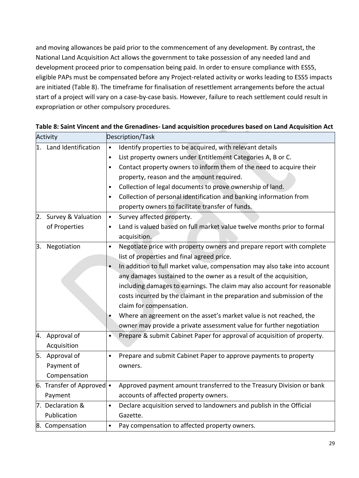and moving allowances be paid prior to the commencement of any development. By contrast, the National Land Acquisition Act allows the government to take possession of any needed land and development proceed prior to compensation being paid. In order to ensure compliance with ESS5, eligible PAPs must be compensated before any Project-related activity or works leading to ESS5 impacts are initiated (Table 8). The timeframe for finalisation of resettlement arrangements before the actual start of a project will vary on a case-by-case basis. However, failure to reach settlement could result in expropriation or other compulsory procedures.

| Activity |                                                            | Description/Task |                                                                                                                                                                                                                                                                                                                                                                                                                                                                                                                                                                                                        |
|----------|------------------------------------------------------------|------------------|--------------------------------------------------------------------------------------------------------------------------------------------------------------------------------------------------------------------------------------------------------------------------------------------------------------------------------------------------------------------------------------------------------------------------------------------------------------------------------------------------------------------------------------------------------------------------------------------------------|
| 1.<br>2. | Land Identification<br>Survey & Valuation<br>of Properties |                  | Identify properties to be acquired, with relevant details<br>List property owners under Entitlement Categories A, B or C.<br>Contact property owners to inform them of the need to acquire their<br>property, reason and the amount required.<br>Collection of legal documents to prove ownership of land.<br>Collection of personal identification and banking information from<br>property owners to facilitate transfer of funds.<br>Survey affected property.<br>Land is valued based on full market value twelve months prior to formal                                                           |
|          |                                                            | acquisition.     |                                                                                                                                                                                                                                                                                                                                                                                                                                                                                                                                                                                                        |
| З.       | Negotiation                                                |                  | Negotiate price with property owners and prepare report with complete<br>list of properties and final agreed price.<br>In addition to full market value, compensation may also take into account<br>any damages sustained to the owner as a result of the acquisition,<br>including damages to earnings. The claim may also account for reasonable<br>costs incurred by the claimant in the preparation and submission of the<br>claim for compensation.<br>Where an agreement on the asset's market value is not reached, the<br>owner may provide a private assessment value for further negotiation |
| 4.       | Approval of<br>Acquisition                                 |                  | Prepare & submit Cabinet Paper for approval of acquisition of property.                                                                                                                                                                                                                                                                                                                                                                                                                                                                                                                                |
|          | 5. Approval of<br>Payment of<br>Compensation               | owners.          | Prepare and submit Cabinet Paper to approve payments to property                                                                                                                                                                                                                                                                                                                                                                                                                                                                                                                                       |
|          | 6. Transfer of Approved $\bullet$<br>Payment               |                  | Approved payment amount transferred to the Treasury Division or bank<br>accounts of affected property owners.                                                                                                                                                                                                                                                                                                                                                                                                                                                                                          |
|          | 7. Declaration &<br>Publication                            | Gazette.         | Declare acquisition served to landowners and publish in the Official                                                                                                                                                                                                                                                                                                                                                                                                                                                                                                                                   |
|          | 8. Compensation                                            |                  | Pay compensation to affected property owners.                                                                                                                                                                                                                                                                                                                                                                                                                                                                                                                                                          |

#### **Table 8: Saint Vincent and the Grenadines- Land acquisition procedures based on Land Acquisition Act**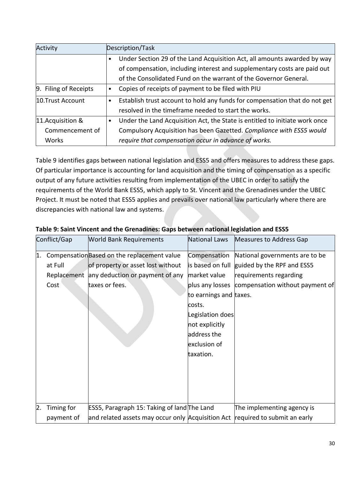| Activity              |           | Description/Task                                                            |
|-----------------------|-----------|-----------------------------------------------------------------------------|
|                       |           | Under Section 29 of the Land Acquisition Act, all amounts awarded by way    |
|                       |           | of compensation, including interest and supplementary costs are paid out    |
|                       |           | of the Consolidated Fund on the warrant of the Governor General.            |
| 9. Filing of Receipts | $\bullet$ | Copies of receipts of payment to be filed with PIU                          |
| 10.Trust Account      |           | Establish trust account to hold any funds for compensation that do not get  |
|                       |           | resolved in the timeframe needed to start the works.                        |
| 11.Acquisition &      |           | Under the Land Acquisition Act, the State is entitled to initiate work once |
| Commencement of       |           | Compulsory Acquisition has been Gazetted. Compliance with ESS5 would        |
| Works                 |           | require that compensation occur in advance of works.                        |

Table 9 identifies gaps between national legislation and ESS5 and offers measures to address these gaps. Of particular importance is accounting for land acquisition and the timing of compensation as a specific output of any future activities resulting from implementation of the UBEC in order to satisfy the requirements of the World Bank ESS5, which apply to St. Vincent and the Grenadines under the UBEC Project. It must be noted that ESS5 applies and prevails over national law particularly where there are discrepancies with national law and systems.

|    | Conflict/Gap    | <b>World Bank Requirements</b>                                                                                                                    | National Laws                                                                                                                                                                             | Measures to Address Gap                                                                                                   |
|----|-----------------|---------------------------------------------------------------------------------------------------------------------------------------------------|-------------------------------------------------------------------------------------------------------------------------------------------------------------------------------------------|---------------------------------------------------------------------------------------------------------------------------|
| 1. | at Full<br>Cost | Compensation Based on the replacement value<br>of property or asset lost without<br>Replacement any deduction or payment of any<br>taxes or fees. | Compensation<br>is based on full<br>market value<br>plus any losses<br>to earnings and taxes.<br>costs.<br>Legislation does<br>not explicitly<br>address the<br>exclusion of<br>taxation. | National governments are to be<br>guided by the RPF and ESS5<br>requirements regarding<br>compensation without payment of |
| 2. | Timing for      | ESS5, Paragraph 15: Taking of land The Land                                                                                                       |                                                                                                                                                                                           | The implementing agency is                                                                                                |
|    | payment of      | and related assets may occur only Acquisition Act                                                                                                 |                                                                                                                                                                                           | required to submit an early                                                                                               |

### **Table 9: Saint Vincent and the Grenadines: Gaps between national legislation and ESS5**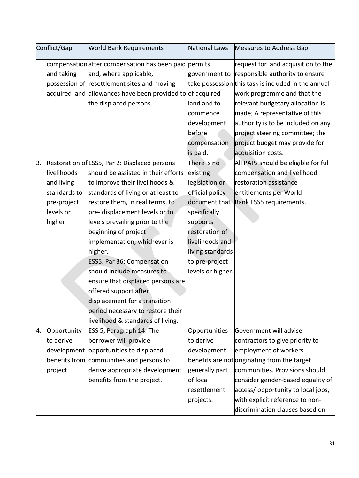|    | Conflict/Gap | <b>World Bank Requirements</b>                             | National Laws     | Measures to Address Gap                             |
|----|--------------|------------------------------------------------------------|-------------------|-----------------------------------------------------|
|    |              | compensation after compensation has been paid permits      |                   | request for land acquisition to the                 |
|    | and taking   | and, where applicable,                                     | government to     | responsible authority to ensure                     |
|    |              | possession of resettlement sites and moving                |                   | take possession this task is included in the annual |
|    |              | acquired land allowances have been provided to of acquired |                   | work programme and that the                         |
|    |              | the displaced persons.                                     | land and to       | relevant budgetary allocation is                    |
|    |              |                                                            | commence          | made; A representative of this                      |
|    |              |                                                            | development       | authority is to be included on any                  |
|    |              |                                                            | before            | project steering committee; the                     |
|    |              |                                                            | compensation      | project budget may provide for                      |
|    |              |                                                            | is paid.          | acquisition costs.                                  |
| 3. |              | Restoration of ESS5, Par 2: Displaced persons              | There is no       | All PAPs should be eligible for full                |
|    | livelihoods  | should be assisted in their efforts                        | existing          | compensation and livelihood                         |
|    | and living   | to improve their livelihoods &                             | legislation or    | restoration assistance                              |
|    | standards to | standards of living or at least to                         | official policy   | entitlements per World                              |
|    | pre-project  | restore them, in real terms, to                            |                   | document that Bank ESS5 requirements.               |
|    | levels or    | pre-displacement levels or to                              | specifically      |                                                     |
|    | higher       | levels prevailing prior to the                             | supports          |                                                     |
|    |              | beginning of project                                       | restoration of    |                                                     |
|    |              | implementation, whichever is                               | livelihoods and   |                                                     |
|    |              | higher.                                                    | living standards  |                                                     |
|    |              | ESS5, Par 36: Compensation                                 | to pre-project    |                                                     |
|    |              | should include measures to                                 | levels or higher. |                                                     |
|    |              | ensure that displaced persons are                          |                   |                                                     |
|    |              | offered support after                                      |                   |                                                     |
|    |              | displacement for a transition                              |                   |                                                     |
|    |              | period necessary to restore their                          |                   |                                                     |
|    |              | livelihood & standards of living.                          |                   |                                                     |
| 4. | Opportunity  | ESS 5, Paragraph 14: The                                   | Opportunities     | Government will advise                              |
|    | to derive    | borrower will provide                                      | to derive         | contractors to give priority to                     |
|    |              | development opportunities to displaced                     | development       | employment of workers                               |
|    |              | benefits from communities and persons to                   |                   | benefits are not originating from the target        |
|    | project      | derive appropriate development                             | generally part    | communities. Provisions should                      |
|    |              | benefits from the project.                                 | of local          | consider gender-based equality of                   |
|    |              |                                                            | resettlement      | access/opportunity to local jobs,                   |
|    |              |                                                            | projects.         | with explicit reference to non-                     |
|    |              |                                                            |                   | discrimination clauses based on                     |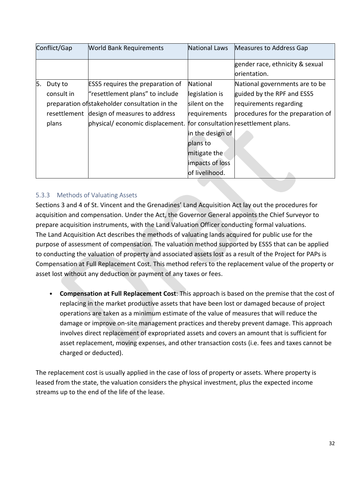| Conflict/Gap |              | National Laws<br><b>World Bank Requirements</b>                      |                  | Measures to Address Gap           |
|--------------|--------------|----------------------------------------------------------------------|------------------|-----------------------------------|
|              |              |                                                                      |                  | gender race, ethnicity & sexual   |
|              |              |                                                                      |                  | lorientation.                     |
| 5.           | Duty to      | <b>ESS5</b> requires the preparation of                              | National         | National governments are to be    |
|              | consult in   | "resettlement plans" to include                                      | legislation is   | guided by the RPF and ESS5        |
|              |              | preparation of stakeholder consultation in the                       | silent on the    | requirements regarding            |
|              | resettlement | design of measures to address                                        | requirements     | procedures for the preparation of |
|              | plans        | physical/economic displacement. for consultation resettlement plans. |                  |                                   |
|              |              |                                                                      | in the design of |                                   |
|              |              |                                                                      | plans to         |                                   |
|              |              |                                                                      | mitigate the     |                                   |
|              |              |                                                                      | impacts of loss  |                                   |
|              |              |                                                                      | of livelihood.   |                                   |

### <span id="page-32-0"></span>5.3.3 Methods of Valuating Assets

Sections 3 and 4 of St. Vincent and the Grenadines' Land Acquisition Act lay out the procedures for acquisition and compensation. Under the Act, the Governor General appoints the Chief Surveyor to prepare acquisition instruments, with the Land Valuation Officer conducting formal valuations. The Land Acquisition Act describes the methods of valuating lands acquired for public use for the purpose of assessment of compensation. The valuation method supported by ESS5 that can be applied to conducting the valuation of property and associated assets lost as a result of the Project for PAPs is Compensation at Full Replacement Cost. This method refers to the replacement value of the property or asset lost without any deduction or payment of any taxes or fees.

• **Compensation at Full Replacement Cost**: This approach is based on the premise that the cost of replacing in the market productive assets that have been lost or damaged because of project operations are taken as a minimum estimate of the value of measures that will reduce the damage or improve on-site management practices and thereby prevent damage. This approach involves direct replacement of expropriated assets and covers an amount that is sufficient for asset replacement, moving expenses, and other transaction costs (i.e. fees and taxes cannot be charged or deducted).

The replacement cost is usually applied in the case of loss of property or assets. Where property is leased from the state, the valuation considers the physical investment, plus the expected income streams up to the end of the life of the lease.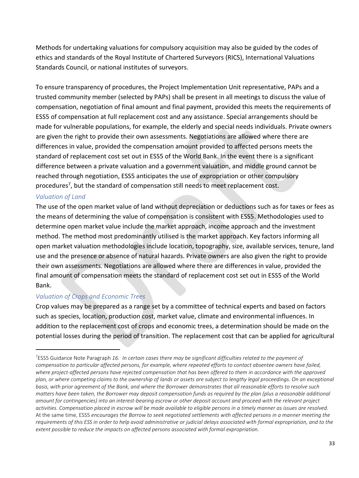Methods for undertaking valuations for compulsory acquisition may also be guided by the codes of ethics and standards of the Royal Institute of Chartered Surveyors (RICS), International Valuations Standards Council, or national institutes of surveyors.

To ensure transparency of procedures, the Project Implementation Unit representative, PAPs and a trusted community member (selected by PAPs) shall be present in all meetings to discuss the value of compensation, negotiation of final amount and final payment, provided this meets the requirements of ESS5 of compensation at full replacement cost and any assistance. Special arrangements should be made for vulnerable populations, for example, the elderly and special needs individuals. Private owners are given the right to provide their own assessments. Negotiations are allowed where there are differences in value, provided the compensation amount provided to affected persons meets the standard of replacement cost set out in ESS5 of the World Bank. In the event there is a significant difference between a private valuation and a government valuation, and middle ground cannot be reached through negotiation, ESS5 anticipates the use of expropriation or other compulsory procedures<sup>7</sup>, but the standard of compensation still needs to meet replacement cost.

### *Valuation of Land*

 $\overline{a}$ 

The use of the open market value of land without depreciation or deductions such as for taxes or fees as the means of determining the value of compensation is consistent with ESS5. Methodologies used to determine open market value include the market approach, income approach and the investment method. The method most predominantly utilised is the market approach. Key factors informing all open market valuation methodologies include location, topography, size, available services, tenure, land use and the presence or absence of natural hazards. Private owners are also given the right to provide their own assessments. Negotiations are allowed where there are differences in value, provided the final amount of compensation meets the standard of replacement cost set out in ESS5 of the World Bank.

### *Valuation of Crops and Economic Trees*

Crop values may be prepared as a range set by a committee of technical experts and based on factors such as species, location, production cost, market value, climate and environmental influences. In addition to the replacement cost of crops and economic trees, a determination should be made on the potential losses during the period of transition. The replacement cost that can be applied for agricultural

<sup>7</sup>ESS5 Guidance Note Paragraph *16. In certain cases there may be significant difficulties related to the payment of compensation to particular affected persons, for example, where repeated efforts to contact absentee owners have failed, where project-affected persons have rejected compensation that has been offered to them in accordance with the approved plan, or where competing claims to the ownership of lands or assets are subject to lengthy legal proceedings. On an exceptional basis, with prior agreement of the Bank, and where the Borrower demonstrates that all reasonable efforts to resolve such matters have been taken, the Borrower may deposit compensation funds as required by the plan (plus a reasonable additional amount for contingencies) into an interest-bearing escrow or other deposit account and proceed with the relevant project activities. Compensation placed in escrow will be made available to eligible persons in a timely manner as issues are resolved.* At the same time, ESS5 *encourages the Borrow to seek negotiated settlements with affected persons in a manner meeting the requirements of this ESS in order to help avoid administrative or judicial delays associated with formal expropriation, and to the extent possible to reduce the impacts on affected persons associated with formal expropriation.*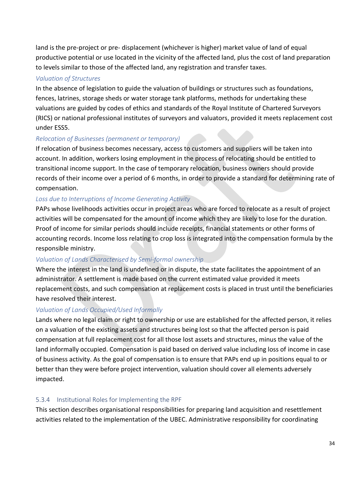land is the pre-project or pre- displacement (whichever is higher) market value of land of equal productive potential or use located in the vicinity of the affected land, plus the cost of land preparation to levels similar to those of the affected land, any registration and transfer taxes.

#### *Valuation of Structures*

In the absence of legislation to guide the valuation of buildings or structures such as foundations, fences, latrines, storage sheds or water storage tank platforms, methods for undertaking these valuations are guided by codes of ethics and standards of the Royal Institute of Chartered Surveyors (RICS) or national professional institutes of surveyors and valuators, provided it meets replacement cost under ESS5.

### *Relocation of Businesses (permanent or temporary)*

If relocation of business becomes necessary, access to customers and suppliers will be taken into account. In addition, workers losing employment in the process of relocating should be entitled to transitional income support. In the case of temporary relocation, business owners should provide records of their income over a period of 6 months, in order to provide a standard for determining rate of compensation.

#### *Loss due to Interruptions of Income Generating Activity*

PAPs whose livelihoods activities occur in project areas who are forced to relocate as a result of project activities will be compensated for the amount of income which they are likely to lose for the duration. Proof of income for similar periods should include receipts, financial statements or other forms of accounting records. Income loss relating to crop loss is integrated into the compensation formula by the responsible ministry.

### *Valuation of Lands Characterised by Semi-formal ownership*

Where the interest in the land is undefined or in dispute, the state facilitates the appointment of an administrator. A settlement is made based on the current estimated value provided it meets replacement costs, and such compensation at replacement costs is placed in trust until the beneficiaries have resolved their interest.

#### *Valuation of Lands Occupied/Used Informally*

Lands where no legal claim or right to ownership or use are established for the affected person, it relies on a valuation of the existing assets and structures being lost so that the affected person is paid compensation at full replacement cost for all those lost assets and structures, minus the value of the land informally occupied. Compensation is paid based on derived value including loss of income in case of business activity. As the goal of compensation is to ensure that PAPs end up in positions equal to or better than they were before project intervention, valuation should cover all elements adversely impacted.

### <span id="page-34-0"></span>5.3.4 Institutional Roles for Implementing the RPF

This section describes organisational responsibilities for preparing land acquisition and resettlement activities related to the implementation of the UBEC. Administrative responsibility for coordinating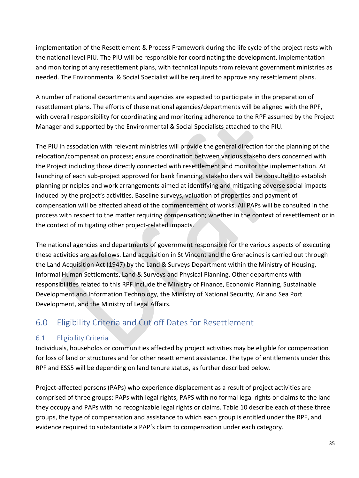implementation of the Resettlement & Process Framework during the life cycle of the project rests with the national level PIU. The PIU will be responsible for coordinating the development, implementation and monitoring of any resettlement plans, with technical inputs from relevant government ministries as needed. The Environmental & Social Specialist will be required to approve any resettlement plans.

A number of national departments and agencies are expected to participate in the preparation of resettlement plans. The efforts of these national agencies/departments will be aligned with the RPF, with overall responsibility for coordinating and monitoring adherence to the RPF assumed by the Project Manager and supported by the Environmental & Social Specialists attached to the PIU.

The PIU in association with relevant ministries will provide the general direction for the planning of the relocation/compensation process; ensure coordination between various stakeholders concerned with the Project including those directly connected with resettlement and monitor the implementation. At launching of each sub-project approved for bank financing, stakeholders will be consulted to establish planning principles and work arrangements aimed at identifying and mitigating adverse social impacts induced by the project's activities. Baseline surveys, valuation of properties and payment of compensation will be affected ahead of the commencement of works. All PAPs will be consulted in the process with respect to the matter requiring compensation; whether in the context of resettlement or in the context of mitigating other project-related impacts.

The national agencies and departments of government responsible for the various aspects of executing these activities are as follows. Land acquisition in St Vincent and the Grenadines is carried out through the Land Acquisition Act (1947) by the Land & Surveys Department within the Ministry of Housing, Informal Human Settlements, Land & Surveys and Physical Planning. Other departments with responsibilities related to this RPF include the Ministry of Finance, Economic Planning, Sustainable Development and Information Technology, the Ministry of National Security, Air and Sea Port Development, and the Ministry of Legal Affairs.

# <span id="page-35-0"></span>6.0 Eligibility Criteria and Cut off Dates for Resettlement

### <span id="page-35-1"></span>6.1 Eligibility Criteria

Individuals, households or communities affected by project activities may be eligible for compensation for loss of land or structures and for other resettlement assistance. The type of entitlements under this RPF and ESS5 will be depending on land tenure status, as further described below.

Project-affected persons (PAPs) who experience displacement as a result of project activities are comprised of three groups: PAPs with legal rights, PAPS with no formal legal rights or claims to the land they occupy and PAPs with no recognizable legal rights or claims. Table 10 describe each of these three groups, the type of compensation and assistance to which each group is entitled under the RPF, and evidence required to substantiate a PAP's claim to compensation under each category.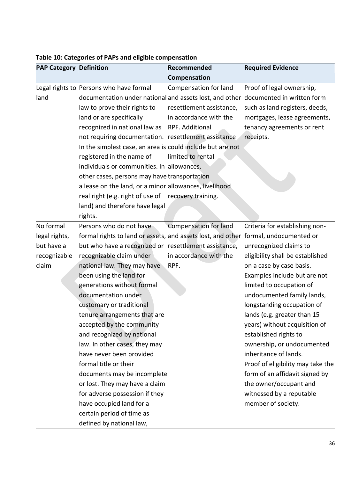| <b>PAP Category Definition</b> |                                                             | Recommended              | <b>Required Evidence</b>          |
|--------------------------------|-------------------------------------------------------------|--------------------------|-----------------------------------|
|                                |                                                             | Compensation             |                                   |
|                                | Legal rights to Persons who have formal                     | Compensation for land    | Proof of legal ownership,         |
| land                           | documentation under national and assets lost, and other     |                          | documented in written form        |
|                                | law to prove their rights to                                | resettlement assistance, | such as land registers, deeds,    |
|                                | land or are specifically                                    | in accordance with the   | mortgages, lease agreements,      |
|                                | recognized in national law as                               | <b>RPF. Additional</b>   | tenancy agreements or rent        |
|                                | not requiring documentation. resettlement assistance        |                          | receipts.                         |
|                                | In the simplest case, an area is could include but are not  |                          |                                   |
|                                | registered in the name of                                   | limited to rental        |                                   |
|                                | individuals or communities. In allowances,                  |                          |                                   |
|                                | other cases, persons may have transportation                |                          |                                   |
|                                | a lease on the land, or a minor allowances, livelihood      |                          |                                   |
|                                | real right (e.g. right of use of                            | recovery training.       |                                   |
|                                | land) and therefore have legal                              |                          |                                   |
|                                | rights.                                                     |                          |                                   |
| No formal                      | Persons who do not have                                     | Compensation for land    | Criteria for establishing non-    |
| legal rights,                  | formal rights to land or assets, and assets lost, and other |                          | formal, undocumented or           |
| but have a                     | but who have a recognized or resettlement assistance,       |                          | unrecognized claims to            |
| recognizable                   | recognizable claim under                                    | in accordance with the   | eligibility shall be established  |
| claim                          | national law. They may have                                 | RPF.                     | on a case by case basis.          |
|                                | been using the land for                                     |                          | Examples include but are not      |
|                                | generations without formal                                  |                          | limited to occupation of          |
|                                | documentation under                                         |                          | undocumented family lands,        |
|                                | customary or traditional                                    |                          | longstanding occupation of        |
|                                | tenure arrangements that are                                |                          | lands (e.g. greater than 15       |
|                                | accepted by the community                                   |                          | years) without acquisition of     |
|                                | and recognized by national                                  |                          | established rights to             |
|                                | law. In other cases, they may                               |                          | ownership, or undocumented        |
|                                | have never been provided                                    |                          | inheritance of lands.             |
|                                | formal title or their                                       |                          | Proof of eligibility may take the |
|                                | documents may be incomplete                                 |                          | form of an affidavit signed by    |
|                                | or lost. They may have a claim                              |                          | the owner/occupant and            |
|                                | for adverse possession if they                              |                          | witnessed by a reputable          |
|                                | have occupied land for a                                    |                          | member of society.                |
|                                | certain period of time as                                   |                          |                                   |
|                                | defined by national law,                                    |                          |                                   |

### **Table 10: Categories of PAPs and eligible compensation**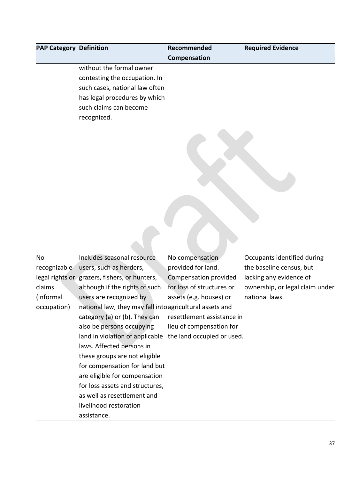| <b>PAP Category Definition</b> |                                                          | Recommended                | <b>Required Evidence</b>        |
|--------------------------------|----------------------------------------------------------|----------------------------|---------------------------------|
|                                |                                                          | Compensation               |                                 |
|                                | without the formal owner                                 |                            |                                 |
|                                | contesting the occupation. In                            |                            |                                 |
|                                | such cases, national law often                           |                            |                                 |
|                                | has legal procedures by which                            |                            |                                 |
|                                | such claims can become                                   |                            |                                 |
|                                | recognized.                                              |                            |                                 |
|                                |                                                          |                            |                                 |
|                                |                                                          |                            |                                 |
|                                |                                                          |                            |                                 |
|                                |                                                          |                            |                                 |
|                                |                                                          |                            |                                 |
|                                |                                                          |                            |                                 |
|                                |                                                          |                            |                                 |
|                                |                                                          |                            |                                 |
|                                |                                                          |                            |                                 |
|                                |                                                          |                            |                                 |
|                                |                                                          |                            |                                 |
|                                |                                                          |                            |                                 |
|                                |                                                          |                            |                                 |
| No                             | Includes seasonal resource                               | No compensation            | Occupants identified during     |
| recognizable                   | users, such as herders,                                  | provided for land.         | the baseline census, but        |
|                                | legal rights or grazers, fishers, or hunters,            | Compensation provided      | lacking any evidence of         |
| claims                         | although if the rights of such                           | for loss of structures or  | ownership, or legal claim under |
| (informal                      | users are recognized by                                  | assets (e.g. houses) or    | national laws.                  |
| occupation)                    | national law, they may fall into agricultural assets and |                            |                                 |
|                                | category (a) or (b). They can                            | resettlement assistance in |                                 |
|                                | also be persons occupying                                | lieu of compensation for   |                                 |
|                                | land in violation of applicable                          | the land occupied or used. |                                 |
|                                | laws. Affected persons in                                |                            |                                 |
|                                | these groups are not eligible                            |                            |                                 |
|                                | for compensation for land but                            |                            |                                 |
|                                | are eligible for compensation                            |                            |                                 |
|                                | for loss assets and structures,                          |                            |                                 |
|                                | as well as resettlement and                              |                            |                                 |
|                                | livelihood restoration                                   |                            |                                 |
|                                | assistance.                                              |                            |                                 |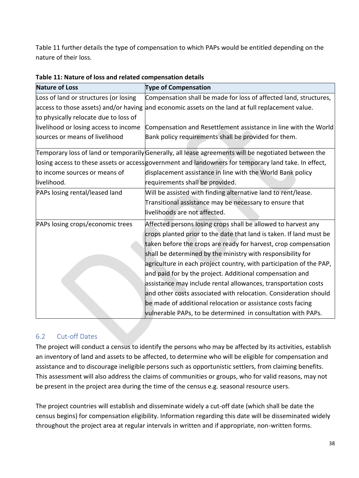Table 11 further details the type of compensation to which PAPs would be entitled depending on the nature of their loss.

| <b>Nature of Loss</b>                 | <b>Type of Compensation</b>                                                                           |
|---------------------------------------|-------------------------------------------------------------------------------------------------------|
| Loss of land or structures (or losing | Compensation shall be made for loss of affected land, structures,                                     |
|                                       | access to those assets) and/or having and economic assets on the land at full replacement value.      |
| to physically relocate due to loss of |                                                                                                       |
| livelihood or losing access to income | Compensation and Resettlement assistance in line with the World                                       |
| sources or means of livelihood        | Bank policy requirements shall be provided for them.                                                  |
|                                       | Temporary loss of land or temporarily Generally, all lease agreements will be negotiated between the  |
|                                       | losing access to these assets or access government and landowners for temporary land take. In effect, |
| to income sources or means of         | displacement assistance in line with the World Bank policy                                            |
| livelihood.                           | requirements shall be provided.                                                                       |
| PAPs losing rental/leased land        | Will be assisted with finding alternative land to rent/lease.                                         |
|                                       | Transitional assistance may be necessary to ensure that                                               |
|                                       | livelihoods are not affected.                                                                         |
| PAPs losing crops/economic trees      | Affected persons losing crops shall be allowed to harvest any                                         |
|                                       | crops planted prior to the date that land is taken. If land must be                                   |
|                                       | taken before the crops are ready for harvest, crop compensation                                       |
|                                       | shall be determined by the ministry with responsibility for                                           |
|                                       | agriculture in each project country, with participation of the PAP,                                   |
|                                       | and paid for by the project. Additional compensation and                                              |
|                                       | assistance may include rental allowances, transportation costs                                        |
|                                       | and other costs associated with relocation. Consideration should                                      |
|                                       | be made of additional relocation or assistance costs facing                                           |
|                                       | vulnerable PAPs, to be determined in consultation with PAPs.                                          |

| Table 11: Nature of loss and related compensation details |  |  |  |  |  |  |
|-----------------------------------------------------------|--|--|--|--|--|--|
|-----------------------------------------------------------|--|--|--|--|--|--|

### <span id="page-38-0"></span>6.2 Cut-off Dates

The project will conduct a census to identify the persons who may be affected by its activities, establish an inventory of land and assets to be affected, to determine who will be eligible for compensation and assistance and to discourage ineligible persons such as opportunistic settlers, from claiming benefits. This assessment will also address the claims of communities or groups, who for valid reasons, may not be present in the project area during the time of the census e.g. seasonal resource users.

The project countries will establish and disseminate widely a cut-off date (which shall be date the census begins) for compensation eligibility. Information regarding this date will be disseminated widely throughout the project area at regular intervals in written and if appropriate, non-written forms.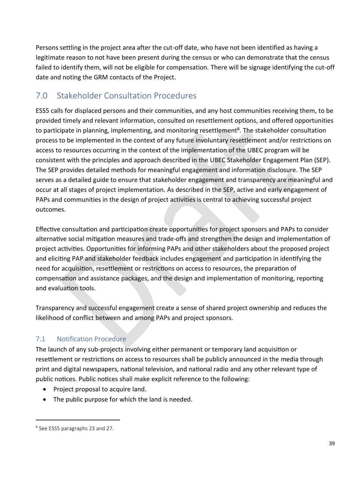Persons settling in the project area after the cut-off date, who have not been identified as having a legitimate reason to not have been present during the census or who can demonstrate that the census failed to identify them, will not be eligible for compensation. There will be signage identifying the cut-off date and noting the GRM contacts of the Project.

# <span id="page-39-0"></span>7.0 Stakeholder Consultation Procedures

ESS5 calls for displaced persons and their communities, and any host communities receiving them, to be provided timely and relevant information, consulted on resettlement options, and offered opportunities to participate in planning, implementing, and monitoring resettlement<sup>8</sup>. The stakeholder consultation process to be implemented in the context of any future involuntary resettlement and/or restrictions on access to resources occurring in the context of the implementation of the UBEC program will be consistent with the principles and approach described in the UBEC Stakeholder Engagement Plan (SEP). The SEP provides detailed methods for meaningful engagement and information disclosure. The SEP serves as a detailed guide to ensure that stakeholder engagement and transparency are meaningful and occur at all stages of project implementation. As described in the SEP, active and early engagement of PAPs and communities in the design of project activities is central to achieving successful project outcomes.

Effective consultation and participation create opportunities for project sponsors and PAPs to consider alternative social mitigation measures and trade-offs and strengthen the design and implementation of project activities. Opportunities for informing PAPs and other stakeholders about the proposed project and eliciting PAP and stakeholder feedback includes engagement and participation in identifying the need for acquisition, resettlement or restrictions on access to resources, the preparation of compensation and assistance packages, and the design and implementation of monitoring, reporting and evaluation tools.

Transparency and successful engagement create a sense of shared project ownership and reduces the likelihood of conflict between and among PAPs and project sponsors.

## <span id="page-39-1"></span>7.1 Notification Procedure

The launch of any sub-projects involving either permanent or temporary land acquisition or resettlement or restrictions on access to resources shall be publicly announced in the media through print and digital newspapers, national television, and national radio and any other relevant type of public notices. Public notices shall make explicit reference to the following:

- Project proposal to acquire land.
- The public purpose for which the land is needed.

<sup>8</sup> See ESS5 paragraphs 23 and 27.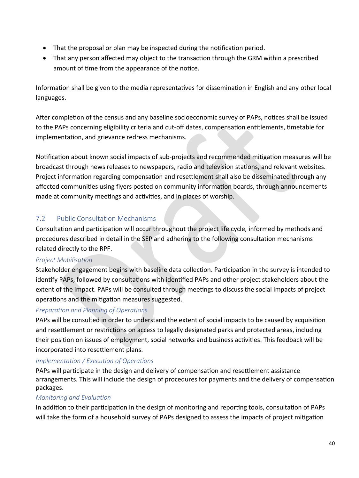- That the proposal or plan may be inspected during the notification period.
- That any person affected may object to the transaction through the GRM within a prescribed amount of time from the appearance of the notice.

Information shall be given to the media representatives for dissemination in English and any other local languages.

After completion of the census and any baseline socioeconomic survey of PAPs, notices shall be issued to the PAPs concerning eligibility criteria and cut-off dates, compensation entitlements, timetable for implementation, and grievance redress mechanisms.

Notification about known social impacts of sub-projects and recommended mitigation measures will be broadcast through news releases to newspapers, radio and television stations, and relevant websites. Project information regarding compensation and resettlement shall also be disseminated through any affected communities using flyers posted on community information boards, through announcements made at community meetings and activities, and in places of worship.

### <span id="page-40-0"></span>7.2 Public Consultation Mechanisms

Consultation and participation will occur throughout the project life cycle, informed by methods and procedures described in detail in the SEP and adhering to the following consultation mechanisms related directly to the RPF.

### **Project Mobilisation**

Stakeholder engagement begins with baseline data collection. Participation in the survey is intended to identify PAPs, followed by consultations with identified PAPs and other project stakeholders about the extent of the impact. PAPs will be consulted through meetings to discuss the social impacts of project operations and the mitigation measures suggested.

### *Preparation and Planning of Operations*

PAPs will be consulted in order to understand the extent of social impacts to be caused by acquisition and resettlement or restrictions on access to legally designated parks and protected areas, including their position on issues of employment, social networks and business activities. This feedback will be incorporated into resettlement plans.

### *Implementation / Execution of Operations*

PAPs will participate in the design and delivery of compensation and resettlement assistance arrangements. This will include the design of procedures for payments and the delivery of compensation packages.

### *Monitoring and Evaluation*

In addition to their participation in the design of monitoring and reporting tools, consultation of PAPs will take the form of a household survey of PAPs designed to assess the impacts of project mitigation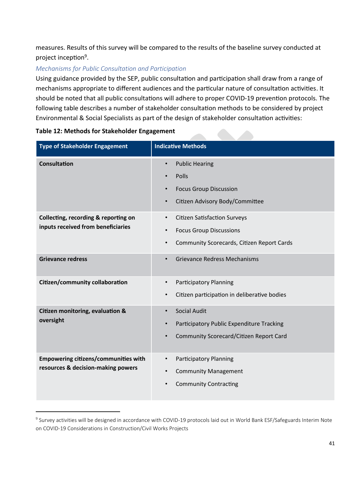measures. Results of this survey will be compared to the results of the baseline survey conducted at project inception<sup>9</sup>.

### *Mechanisms for Public Consultation and Participation*

Using guidance provided by the SEP, public consultation and participation shall draw from a range of mechanisms appropriate to different audiences and the particular nature of consultation activities. It should be noted that all public consultations will adhere to proper COVID-19 prevention protocols. The following table describes a number of stakeholder consultation methods to be considered by project Environmental & Social Specialists as part of the design of stakeholder consultation activities:

| <b>Type of Stakeholder Engagement</b>                                             | <b>Indicative Methods</b>                                                                                                                                  |
|-----------------------------------------------------------------------------------|------------------------------------------------------------------------------------------------------------------------------------------------------------|
| <b>Consultation</b>                                                               | <b>Public Hearing</b><br>$\bullet$<br>Polls<br>$\bullet$<br><b>Focus Group Discussion</b><br>$\bullet$<br>Citizen Advisory Body/Committee<br>$\bullet$     |
| Collecting, recording & reporting on<br>inputs received from beneficiaries        | <b>Citizen Satisfaction Surveys</b><br>$\bullet$<br><b>Focus Group Discussions</b><br>$\bullet$<br>Community Scorecards, Citizen Report Cards<br>$\bullet$ |
| <b>Grievance redress</b>                                                          | <b>Grievance Redress Mechanisms</b><br>$\bullet$                                                                                                           |
| Citizen/community collaboration                                                   | <b>Participatory Planning</b><br>$\bullet$<br>Citizen participation in deliberative bodies<br>$\bullet$                                                    |
| Citizen monitoring, evaluation &<br>oversight                                     | <b>Social Audit</b><br>$\bullet$<br>Participatory Public Expenditure Tracking<br>$\bullet$<br>Community Scorecard/Citizen Report Card<br>$\bullet$         |
| <b>Empowering citizens/communities with</b><br>resources & decision-making powers | <b>Participatory Planning</b><br><b>Community Management</b><br><b>Community Contracting</b><br>$\bullet$                                                  |

#### **Table 12: Methods for Stakeholder Engagement**

<sup>&</sup>lt;sup>9</sup> Survey activities will be designed in accordance with COVID-19 protocols laid out in World Bank ESF/Safeguards Interim Note on COVID-19 Considerations in Construction/Civil Works Projects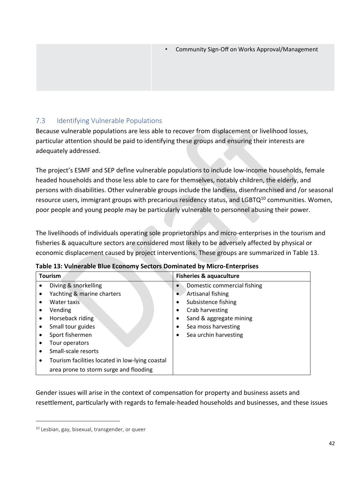### <span id="page-42-0"></span>7.3 Identifying Vulnerable Populations

Because vulnerable populations are less able to recover from displacement or livelihood losses, particular attention should be paid to identifying these groups and ensuring their interests are adequately addressed.

The project's ESMF and SEP define vulnerable populations to include low-income households, female headed households and those less able to care for themselves, notably children, the elderly, and persons with disabilities. Other vulnerable groups include the landless, disenfranchised and /or seasonal resource users, immigrant groups with precarious residency status, and LGBTQ<sup>10</sup> communities. Women, poor people and young people may be particularly vulnerable to personnel abusing their power.

The livelihoods of individuals operating sole proprietorships and micro-enterprises in the tourism and fisheries & aquaculture sectors are considered most likely to be adversely affected by physical or economic displacement caused by project interventions. These groups are summarized in Table 13.

| <b>Tourism</b>                                       | <b>Fisheries &amp; aquaculture</b>       |  |
|------------------------------------------------------|------------------------------------------|--|
| Diving & snorkelling<br>٠                            | Domestic commercial fishing<br>$\bullet$ |  |
| Yachting & marine charters<br>٠                      | Artisanal fishing<br>$\bullet$           |  |
| Water taxis<br>٠                                     | Subsistence fishing                      |  |
| Vending<br>٠                                         | Crab harvesting<br>٠                     |  |
| Horseback riding<br>$\bullet$                        | Sand & aggregate mining<br>٠             |  |
| Small tour guides<br>$\bullet$                       | Sea moss harvesting<br>٠                 |  |
| Sport fishermen<br>٠                                 | Sea urchin harvesting                    |  |
| Tour operators<br>٠                                  |                                          |  |
| Small-scale resorts<br>$\bullet$                     |                                          |  |
| Tourism facilities located in low-lying coastal<br>٠ |                                          |  |
| area prone to storm surge and flooding               |                                          |  |

|  |  | Table 13: Vulnerable Blue Economy Sectors Dominated by Micro-Enterprises |
|--|--|--------------------------------------------------------------------------|
|  |  |                                                                          |

Gender issues will arise in the context of compensation for property and business assets and resettlement, particularly with regards to female-headed households and businesses, and these issues

<sup>&</sup>lt;sup>10</sup> Lesbian, gay, bisexual, transgender, or queer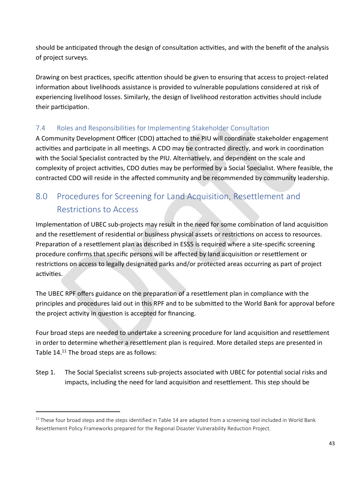should be anticipated through the design of consultation activities, and with the benefit of the analysis of project surveys.

Drawing on best practices, specific attention should be given to ensuring that access to project-related information about livelihoods assistance is provided to vulnerable populations considered at risk of experiencing livelihood losses. Similarly, the design of livelihood restoration activities should include their participation.

### <span id="page-43-0"></span>7.4 Roles and Responsibilities for Implementing Stakeholder Consultation

A Community Development Officer (CDO) attached to the PIU will coordinate stakeholder engagement activities and participate in all meetings. A CDO may be contracted directly, and work in coordination with the Social Specialist contracted by the PIU. Alternatively, and dependent on the scale and complexity of project activities, CDO duties may be performed by a Social Specialist. Where feasible, the contracted CDO will reside in the affected community and be recommended by community leadership.

# <span id="page-43-1"></span>8.0 Procedures for Screening for Land Acquisition, Resettlement and Restrictions to Access

Implementation of UBEC sub-projects may result in the need for some combination of land acquisition and the resettlement of residential or business physical assets or restrictions on access to resources. Preparation of a resettlement plan as described in ESS5 is required where a site-specific screening procedure confirms that specific persons will be affected by land acquisition or resettlement or restrictions on access to legally designated parks and/or protected areas occurring as part of project activities.

The UBEC RPF offers guidance on the preparation of a resettlement plan in compliance with the principles and procedures laid out in this RPF and to be submitted to the World Bank for approval before the project activity in question is accepted for financing.

Four broad steps are needed to undertake a screening procedure for land acquisition and resettlement in order to determine whether a resettlement plan is required. More detailed steps are presented in Table 14.<sup>11</sup> The broad steps are as follows:

Step 1. The Social Specialist screens sub-projects associated with UBEC for potential social risks and impacts, including the need for land acquisition and resettlement. This step should be

 $11$  These four broad steps and the steps identified in Table 14 are adapted from a screening tool included in World Bank Resettlement Policy Frameworks prepared for the Regional Disaster Vulnerability Reduction Project.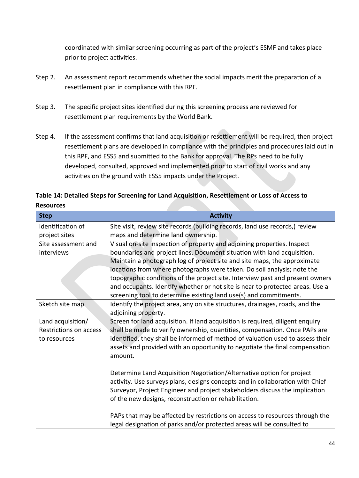coordinated with similar screening occurring as part of the project's ESMF and takes place prior to project activities.

- Step 2. An assessment report recommends whether the social impacts merit the preparation of a resettlement plan in compliance with this RPF.
- Step 3. The specific project sites identified during this screening process are reviewed for resettlement plan requirements by the World Bank.
- Step 4. If the assessment confirms that land acquisition or resettlement will be required, then project resettlement plans are developed in compliance with the principles and procedures laid out in this RPF, and ESS5 and submitted to the Bank for approval. The RPs need to be fully developed, consulted, approved and implemented prior to start of civil works and any activities on the ground with ESS5 impacts under the Project.

## **Table 14: Detailed Steps for Screening for Land Acquisition, Resettlement or Loss of Access to**

**Resources**

| <b>Step</b>            | <b>Activity</b>                                                                                                                                        |
|------------------------|--------------------------------------------------------------------------------------------------------------------------------------------------------|
| Identification of      | Site visit, review site records (building records, land use records,) review                                                                           |
| project sites          | maps and determine land ownership.                                                                                                                     |
| Site assessment and    | Visual on-site inspection of property and adjoining properties. Inspect                                                                                |
| interviews             | boundaries and project lines. Document situation with land acquisition.                                                                                |
|                        | Maintain a photograph log of project site and site maps, the approximate                                                                               |
|                        | locations from where photographs were taken. Do soil analysis; note the                                                                                |
|                        | topographic conditions of the project site. Interview past and present owners                                                                          |
|                        | and occupants. Identify whether or not site is near to protected areas. Use a                                                                          |
|                        | screening tool to determine existing land use(s) and commitments.                                                                                      |
| Sketch site map        | Identify the project area, any on site structures, drainages, roads, and the                                                                           |
|                        | adjoining property.                                                                                                                                    |
| Land acquisition/      | Screen for land acquisition. If land acquisition is required, diligent enquiry                                                                         |
| Restrictions on access | shall be made to verify ownership, quantities, compensation. Once PAPs are                                                                             |
| to resources           | identified, they shall be informed of method of valuation used to assess their                                                                         |
|                        | assets and provided with an opportunity to negotiate the final compensation                                                                            |
|                        | amount.                                                                                                                                                |
|                        |                                                                                                                                                        |
|                        | Determine Land Acquisition Negotiation/Alternative option for project                                                                                  |
|                        | activity. Use surveys plans, designs concepts and in collaboration with Chief                                                                          |
|                        | Surveyor, Project Engineer and project stakeholders discuss the implication                                                                            |
|                        | of the new designs, reconstruction or rehabilitation.                                                                                                  |
|                        |                                                                                                                                                        |
|                        | PAPs that may be affected by restrictions on access to resources through the<br>legal designation of parks and/or protected areas will be consulted to |
|                        |                                                                                                                                                        |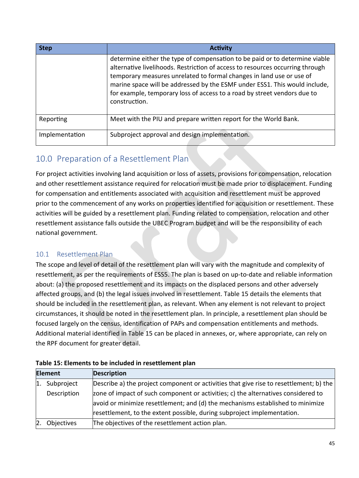| <b>Step</b>    | <b>Activity</b>                                                                                                                                                                                                                                                                                                                                                                                                 |
|----------------|-----------------------------------------------------------------------------------------------------------------------------------------------------------------------------------------------------------------------------------------------------------------------------------------------------------------------------------------------------------------------------------------------------------------|
|                | determine either the type of compensation to be paid or to determine viable<br>alternative livelihoods. Restriction of access to resources occurring through<br>temporary measures unrelated to formal changes in land use or use of<br>marine space will be addressed by the ESMF under ESS1. This would include,<br>for example, temporary loss of access to a road by street vendors due to<br>construction. |
| Reporting      | Meet with the PIU and prepare written report for the World Bank.                                                                                                                                                                                                                                                                                                                                                |
| Implementation | Subproject approval and design implementation.                                                                                                                                                                                                                                                                                                                                                                  |

# <span id="page-45-0"></span>10.0 Preparation of a Resettlement Plan

For project activities involving land acquisition or loss of assets, provisions for compensation, relocation and other resettlement assistance required for relocation must be made prior to displacement. Funding for compensation and entitlements associated with acquisition and resettlement must be approved prior to the commencement of any works on properties identified for acquisition or resettlement. These activities will be guided by a resettlement plan. Funding related to compensation, relocation and other resettlement assistance falls outside the UBEC Program budget and will be the responsibility of each national government.

### <span id="page-45-1"></span>10.1 Resettlement Plan

The scope and level of detail of the resettlement plan will vary with the magnitude and complexity of resettlement, as per the requirements of ESS5. The plan is based on up-to-date and reliable information about: (a) the proposed resettlement and its impacts on the displaced persons and other adversely affected groups, and (b) the legal issues involved in resettlement. Table 15 details the elements that should be included in the resettlement plan, as relevant. When any element is not relevant to project circumstances, it should be noted in the resettlement plan. In principle, a resettlement plan should be focused largely on the census, identification of PAPs and compensation entitlements and methods. Additional material identified in Table 15 can be placed in annexes, or, where appropriate, can rely on the RPF document for greater detail.

|                | <b>Element</b> | <b>Description</b>                                                                     |
|----------------|----------------|----------------------------------------------------------------------------------------|
| $\mathbf{1}$ . | Subproject     | Describe a) the project component or activities that give rise to resettlement; b) the |
|                | Description    | zone of impact of such component or activities; c) the alternatives considered to      |
|                |                | avoid or minimize resettlement; and (d) the mechanisms established to minimize         |
|                |                | resettlement, to the extent possible, during subproject implementation.                |
| 2.             | Objectives     | The objectives of the resettlement action plan.                                        |

|  | Table 15: Elements to be included in resettlement plan |  |
|--|--------------------------------------------------------|--|
|  |                                                        |  |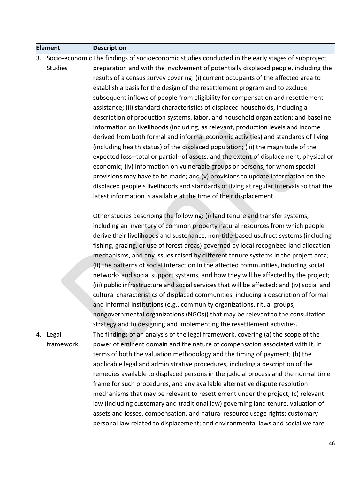| <b>Element</b> |                | <b>Description</b>                                                                                         |
|----------------|----------------|------------------------------------------------------------------------------------------------------------|
|                |                | $\beta$ . Socio-economic The findings of socioeconomic studies conducted in the early stages of subproject |
|                | <b>Studies</b> | preparation and with the involvement of potentially displaced people, including the                        |
|                |                | results of a census survey covering: (i) current occupants of the affected area to                         |
|                |                | establish a basis for the design of the resettlement program and to exclude                                |
|                |                | subsequent inflows of people from eligibility for compensation and resettlement                            |
|                |                | assistance; (ii) standard characteristics of displaced households, including a                             |
|                |                | description of production systems, labor, and household organization; and baseline                         |
|                |                | information on livelihoods (including, as relevant, production levels and income                           |
|                |                | derived from both formal and informal economic activities) and standards of living                         |
|                |                | (including health status) of the displaced population; (iii) the magnitude of the                          |
|                |                | expected loss--total or partial--of assets, and the extent of displacement, physical or                    |
|                |                | economic; (iv) information on vulnerable groups or persons, for whom special                               |
|                |                | provisions may have to be made; and (v) provisions to update information on the                            |
|                |                | displaced people's livelihoods and standards of living at regular intervals so that the                    |
|                |                | latest information is available at the time of their displacement.                                         |
|                |                |                                                                                                            |
|                |                | Other studies describing the following: (i) land tenure and transfer systems,                              |
|                |                | including an inventory of common property natural resources from which people                              |
|                |                | derive their livelihoods and sustenance, non-title-based usufruct systems (including                       |
|                |                | fishing, grazing, or use of forest areas) governed by local recognized land allocation                     |
|                |                | mechanisms, and any issues raised by different tenure systems in the project area;                         |
|                |                | (ii) the patterns of social interaction in the affected communities, including social                      |
|                |                | networks and social support systems, and how they will be affected by the project;                         |
|                |                | (iii) public infrastructure and social services that will be affected; and (iv) social and                 |
|                |                | cultural characteristics of displaced communities, including a description of formal                       |
|                |                | and informal institutions (e.g., community organizations, ritual groups,                                   |
|                |                | nongovernmental organizations (NGOs)) that may be relevant to the consultation                             |
|                |                | strategy and to designing and implementing the resettlement activities.                                    |
|                | 4. Legal       | The findings of an analysis of the legal framework, covering (a) the scope of the                          |
|                | framework      | power of eminent domain and the nature of compensation associated with it, in                              |
|                |                | terms of both the valuation methodology and the timing of payment; (b) the                                 |
|                |                | applicable legal and administrative procedures, including a description of the                             |
|                |                | remedies available to displaced persons in the judicial process and the normal time                        |
|                |                | frame for such procedures, and any available alternative dispute resolution                                |
|                |                | mechanisms that may be relevant to resettlement under the project; (c) relevant                            |
|                |                | law (including customary and traditional law) governing land tenure, valuation of                          |
|                |                | assets and losses, compensation, and natural resource usage rights; customary                              |
|                |                | personal law related to displacement; and environmental laws and social welfare                            |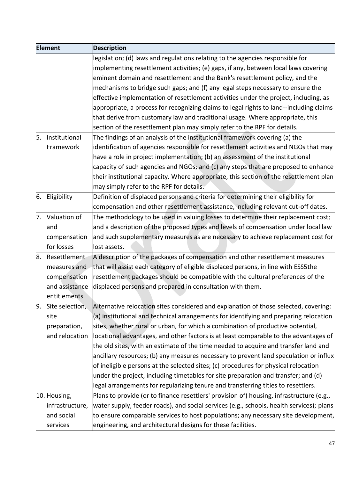| <b>Element</b> |                    | <b>Description</b>                                                                       |
|----------------|--------------------|------------------------------------------------------------------------------------------|
|                |                    | legislation; (d) laws and regulations relating to the agencies responsible for           |
|                |                    | implementing resettlement activities; (e) gaps, if any, between local laws covering      |
|                |                    | eminent domain and resettlement and the Bank's resettlement policy, and the              |
|                |                    | mechanisms to bridge such gaps; and (f) any legal steps necessary to ensure the          |
|                |                    | effective implementation of resettlement activities under the project, including, as     |
|                |                    | appropriate, a process for recognizing claims to legal rights to land--including claims  |
|                |                    | that derive from customary law and traditional usage. Where appropriate, this            |
|                |                    | section of the resettlement plan may simply refer to the RPF for details.                |
| 5.             | Institutional      | The findings of an analysis of the institutional framework covering (a) the              |
|                | Framework          | identification of agencies responsible for resettlement activities and NGOs that may     |
|                |                    | have a role in project implementation; (b) an assessment of the institutional            |
|                |                    | capacity of such agencies and NGOs; and (c) any steps that are proposed to enhance       |
|                |                    | their institutional capacity. Where appropriate, this section of the resettlement plan   |
|                |                    | may simply refer to the RPF for details.                                                 |
| 6.             | Eligibility        | Definition of displaced persons and criteria for determining their eligibility for       |
|                |                    | compensation and other resettlement assistance, including relevant cut-off dates.        |
|                | 7. Valuation of    | The methodology to be used in valuing losses to determine their replacement cost;        |
|                | and                | and a description of the proposed types and levels of compensation under local law       |
|                | compensation       | and such supplementary measures as are necessary to achieve replacement cost for         |
|                | for losses         | lost assets.                                                                             |
| 8.             | Resettlement       | A description of the packages of compensation and other resettlement measures            |
|                | measures and       | that will assist each category of eligible displaced persons, in line with ESS5the       |
|                | compensation       | resettlement packages should be compatible with the cultural preferences of the          |
|                | and assistance     | displaced persons and prepared in consultation with them.                                |
|                | entitlements       |                                                                                          |
|                | 9. Site selection, | Alternative relocation sites considered and explanation of those selected, covering:     |
|                | site               | (a) institutional and technical arrangements for identifying and preparing relocation    |
|                | preparation,       | sites, whether rural or urban, for which a combination of productive potential,          |
|                | and relocation     | locational advantages, and other factors is at least comparable to the advantages of     |
|                |                    | the old sites, with an estimate of the time needed to acquire and transfer land and      |
|                |                    | ancillary resources; (b) any measures necessary to prevent land speculation or influx    |
|                |                    | of ineligible persons at the selected sites; (c) procedures for physical relocation      |
|                |                    | under the project, including timetables for site preparation and transfer; and (d)       |
|                |                    | legal arrangements for regularizing tenure and transferring titles to resettlers.        |
|                | 10. Housing,       | Plans to provide (or to finance resettlers' provision of) housing, infrastructure (e.g., |
|                | infrastructure,    | water supply, feeder roads), and social services (e.g., schools, health services); plans |
|                | and social         | to ensure comparable services to host populations; any necessary site development,       |
|                | services           | engineering, and architectural designs for these facilities.                             |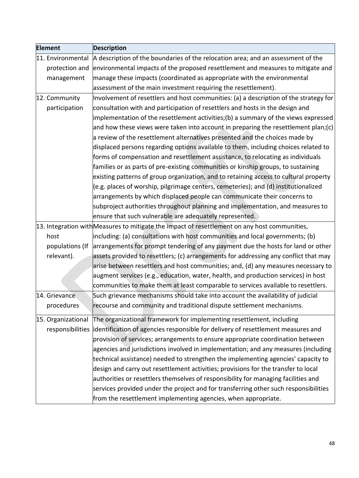| <b>Element</b> |                    | <b>Description</b>                                                                            |
|----------------|--------------------|-----------------------------------------------------------------------------------------------|
|                | 11. Environmental  | A description of the boundaries of the relocation area; and an assessment of the              |
|                | protection and     | environmental impacts of the proposed resettlement and measures to mitigate and               |
|                | management         | manage these impacts (coordinated as appropriate with the environmental                       |
|                |                    | assessment of the main investment requiring the resettlement).                                |
|                | 12. Community      | Involvement of resettlers and host communities: (a) a description of the strategy for         |
|                | participation      | consultation with and participation of resettlers and hosts in the design and                 |
|                |                    | implementation of the resettlement activities;(b) a summary of the views expressed            |
|                |                    | and how these views were taken into account in preparing the resettlement plan;(c)            |
|                |                    | a review of the resettlement alternatives presented and the choices made by                   |
|                |                    | displaced persons regarding options available to them, including choices related to           |
|                |                    | forms of compensation and resettlement assistance, to relocating as individuals               |
|                |                    | families or as parts of pre-existing communities or kinship groups, to sustaining             |
|                |                    | existing patterns of group organization, and to retaining access to cultural property         |
|                |                    | (e.g. places of worship, pilgrimage centers, cemeteries); and (d) institutionalized           |
|                |                    | arrangements by which displaced people can communicate their concerns to                      |
|                |                    | subproject authorities throughout planning and implementation, and measures to                |
|                |                    | ensure that such vulnerable are adequately represented.                                       |
|                |                    | 13. Integration with Measures to mitigate the impact of resettlement on any host communities, |
|                | host               | including: (a) consultations with host communities and local governments; (b)                 |
|                | populations (If    | arrangements for prompt tendering of any payment due the hosts for land or other              |
|                | relevant).         | assets provided to resettlers; (c) arrangements for addressing any conflict that may          |
|                |                    | arise between resettlers and host communities; and, (d) any measures necessary to             |
|                |                    | augment services (e.g., education, water, health, and production services) in host            |
|                |                    | communities to make them at least comparable to services available to resettlers.             |
|                | 14. Grievance      | Such grievance mechanisms should take into account the availability of judicial               |
|                | procedures         | recourse and community and traditional dispute settlement mechanisms.                         |
|                | 15. Organizational | The organizational framework for implementing resettlement, including                         |
|                | responsibilities   | identification of agencies responsible for delivery of resettlement measures and              |
|                |                    | provision of services; arrangements to ensure appropriate coordination between                |
|                |                    | agencies and jurisdictions involved in implementation; and any measures (including            |
|                |                    | technical assistance) needed to strengthen the implementing agencies' capacity to             |
|                |                    | design and carry out resettlement activities; provisions for the transfer to local            |
|                |                    | authorities or resettlers themselves of responsibility for managing facilities and            |
|                |                    | services provided under the project and for transferring other such responsibilities          |
|                |                    | from the resettlement implementing agencies, when appropriate.                                |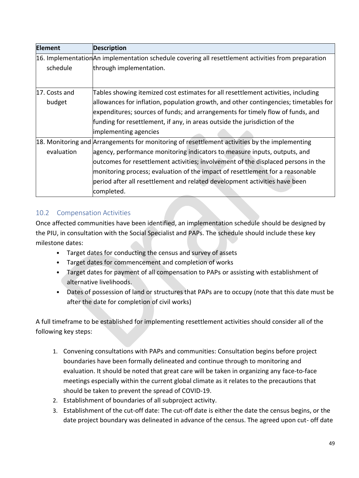| <b>Element</b> | <b>Description</b>                                                                                  |  |  |  |
|----------------|-----------------------------------------------------------------------------------------------------|--|--|--|
|                | 16. Implementation An implementation schedule covering all resettlement activities from preparation |  |  |  |
| schedule       | through implementation.                                                                             |  |  |  |
|                |                                                                                                     |  |  |  |
| 17. Costs and  | Tables showing itemized cost estimates for all resettlement activities, including                   |  |  |  |
| budget         | allowances for inflation, population growth, and other contingencies; timetables for                |  |  |  |
|                | expenditures; sources of funds; and arrangements for timely flow of funds, and                      |  |  |  |
|                | funding for resettlement, if any, in areas outside the jurisdiction of the                          |  |  |  |
|                | implementing agencies                                                                               |  |  |  |
|                | 18. Monitoring and Arrangements for monitoring of resettlement activities by the implementing       |  |  |  |
| evaluation     | agency, performance monitoring indicators to measure inputs, outputs, and                           |  |  |  |
|                | outcomes for resettlement activities; involvement of the displaced persons in the                   |  |  |  |
|                | monitoring process; evaluation of the impact of resettlement for a reasonable                       |  |  |  |
|                | period after all resettlement and related development activities have been                          |  |  |  |
|                | completed.                                                                                          |  |  |  |

### <span id="page-49-0"></span>10.2 Compensation Activities

Once affected communities have been identified, an implementation schedule should be designed by the PIU, in consultation with the Social Specialist and PAPs. The schedule should include these key milestone dates:

- Target dates for conducting the census and survey of assets
- Target dates for commencement and completion of works
- Target dates for payment of all compensation to PAPs or assisting with establishment of alternative livelihoods.
- Dates of possession of land or structures that PAPs are to occupy (note that this date must be after the date for completion of civil works)

A full timeframe to be established for implementing resettlement activities should consider all of the following key steps:

- 1. Convening consultations with PAPs and communities: Consultation begins before project boundaries have been formally delineated and continue through to monitoring and evaluation. It should be noted that great care will be taken in organizing any face-to-face meetings especially within the current global climate as it relates to the precautions that should be taken to prevent the spread of COVID-19.
- 2. Establishment of boundaries of all subproject activity.
- 3. Establishment of the cut-off date: The cut-off date is either the date the census begins, or the date project boundary was delineated in advance of the census. The agreed upon cut- off date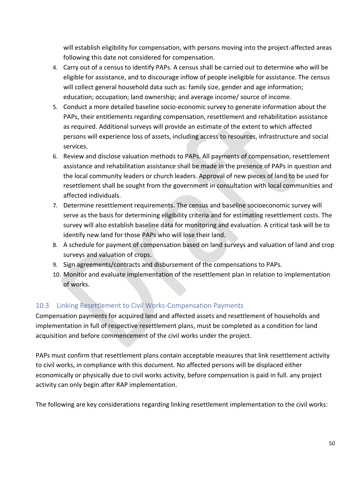will establish eligibility for compensation, with persons moving into the project-affected areas following this date not considered for compensation.

- 4. Carry out of a census to identify PAPs. A census shall be carried out to determine who will be eligible for assistance, and to discourage inflow of people ineligible for assistance. The census will collect general household data such as: family size, gender and age information; education; occupation; land ownership; and average income/ source of income.
- 5. Conduct a more detailed baseline socio-economic survey to generate information about the PAPs, their entitlements regarding compensation, resettlement and rehabilitation assistance as required. Additional surveys will provide an estimate of the extent to which affected persons will experience loss of assets, including access to resources, infrastructure and social services.
- 6. Review and disclose valuation methods to PAPs. All payments of compensation, resettlement assistance and rehabilitation assistance shall be made in the presence of PAPs in question and the local community leaders or church leaders. Approval of new pieces of land to be used for resettlement shall be sought from the government in consultation with local communities and affected individuals.
- 7. Determine resettlement requirements. The census and baseline socioeconomic survey will serve as the basis for determining eligibility criteria and for estimating resettlement costs. The survey will also establish baseline data for monitoring and evaluation. A critical task will be to identify new land for those PAPs who will lose their land.
- 8. A schedule for payment of compensation based on land surveys and valuation of land and crop surveys and valuation of crops.
- 9. Sign agreements/contracts and disbursement of the compensations to PAPs.
- 10. Monitor and evaluate implementation of the resettlement plan in relation to implementation of works.

### <span id="page-50-0"></span>10.3 Linking Resettlement to Civil Works-Compensation Payments

Compensation payments for acquired land and affected assets and resettlement of households and implementation in full of respective resettlement plans, must be completed as a condition for land acquisition and before commencement of the civil works under the project.

PAPs must confirm that resettlement plans contain acceptable measures that link resettlement activity to civil works, in compliance with this document. No affected persons will be displaced either economically or physically due to civil works activity, before compensation is paid in full. any project activity can only begin after RAP implementation.

The following are key considerations regarding linking resettlement implementation to the civil works: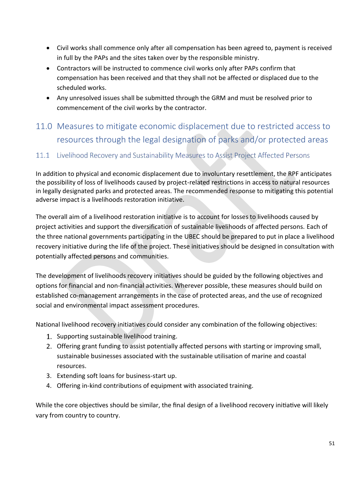- Civil works shall commence only after all compensation has been agreed to, payment is received in full by the PAPs and the sites taken over by the responsible ministry.
- Contractors will be instructed to commence civil works only after PAPs confirm that compensation has been received and that they shall not be affected or displaced due to the scheduled works.
- Any unresolved issues shall be submitted through the GRM and must be resolved prior to commencement of the civil works by the contractor.
- <span id="page-51-0"></span>11.0 Measures to mitigate economic displacement due to restricted access to resources through the legal designation of parks and/or protected areas

### <span id="page-51-1"></span>11.1 Livelihood Recovery and Sustainability Measures to Assist Project Affected Persons

In addition to physical and economic displacement due to involuntary resettlement, the RPF anticipates the possibility of loss of livelihoods caused by project-related restrictions in access to natural resources in legally designated parks and protected areas. The recommended response to mitigating this potential adverse impact is a livelihoods restoration initiative.

The overall aim of a livelihood restoration initiative is to account for losses to livelihoods caused by project activities and support the diversification of sustainable livelihoods of affected persons. Each of the three national governments participating in the UBEC should be prepared to put in place a livelihood recovery initiative during the life of the project. These initiatives should be designed in consultation with potentially affected persons and communities.

The development of livelihoods recovery initiatives should be guided by the following objectives and options for financial and non-financial activities. Wherever possible, these measures should build on established co-management arrangements in the case of protected areas, and the use of recognized social and environmental impact assessment procedures.

National livelihood recovery initiatives could consider any combination of the following objectives:

- 1. Supporting sustainable livelihood training.
- 2. Offering grant funding to assist potentially affected persons with starting or improving small, sustainable businesses associated with the sustainable utilisation of marine and coastal resources.
- 3. Extending soft loans for business-start up.
- 4. Offering in-kind contributions of equipment with associated training.

While the core objectives should be similar, the final design of a livelihood recovery initiative will likely vary from country to country.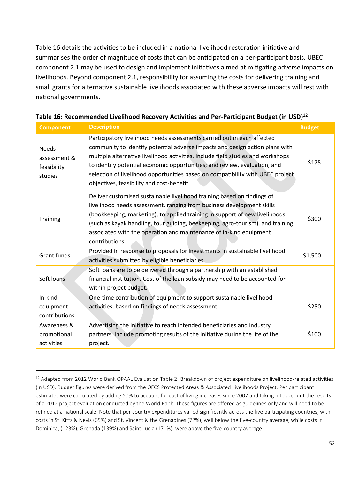Table 16 details the activities to be included in a national livelihood restoration initiative and summarises the order of magnitude of costs that can be anticipated on a per-participant basis. UBEC component 2.1 may be used to design and implement initiatives aimed at mitigating adverse impacts on livelihoods. Beyond component 2.1, responsibility for assuming the costs for delivering training and small grants for alternative sustainable livelihoods associated with these adverse impacts will rest with national governments.

| <b>Component</b>                                                                                                                                                    | <b>Description</b>                                                                                                                                                                                                                                                                                                                                                                                                                                     | <b>Budget</b> |
|---------------------------------------------------------------------------------------------------------------------------------------------------------------------|--------------------------------------------------------------------------------------------------------------------------------------------------------------------------------------------------------------------------------------------------------------------------------------------------------------------------------------------------------------------------------------------------------------------------------------------------------|---------------|
| <b>Needs</b><br>assessment &<br>feasibility<br>studies                                                                                                              | Participatory livelihood needs assessments carried out in each affected<br>community to identify potential adverse impacts and design action plans with<br>multiple alternative livelihood activities. Include field studies and workshops<br>to identify potential economic opportunities; and review, evaluation, and<br>selection of livelihood opportunities based on compatibility with UBEC project<br>objectives, feasibility and cost-benefit. | \$175         |
| <b>Training</b>                                                                                                                                                     | Deliver customised sustainable livelihood training based on findings of<br>livelihood needs assessment, ranging from business development skills<br>(bookkeeping, marketing), to applied training in support of new livelihoods<br>(such as kayak handling, tour guiding, beekeeping, agro-tourism), and training<br>associated with the operation and maintenance of in-kind equipment<br>contributions.                                              |               |
| <b>Grant funds</b>                                                                                                                                                  | Provided in response to proposals for investments in sustainable livelihood<br>activities submitted by eligible beneficiaries.                                                                                                                                                                                                                                                                                                                         | \$1,500       |
| Soft loans                                                                                                                                                          | Soft loans are to be delivered through a partnership with an established<br>financial institution. Cost of the loan subsidy may need to be accounted for<br>within project budget.                                                                                                                                                                                                                                                                     |               |
| In-kind<br>One-time contribution of equipment to support sustainable livelihood<br>activities, based on findings of needs assessment.<br>equipment<br>contributions |                                                                                                                                                                                                                                                                                                                                                                                                                                                        | \$250         |
| Awareness &<br>promotional<br>activities                                                                                                                            | Advertising the initiative to reach intended beneficiaries and industry<br>partners. Include promoting results of the initiative during the life of the<br>project.                                                                                                                                                                                                                                                                                    | \$100         |

| Table 16: Recommended Livelihood Recovery Activities and Per-Participant Budget (in USD) <sup>12</sup> |  |  |
|--------------------------------------------------------------------------------------------------------|--|--|
|--------------------------------------------------------------------------------------------------------|--|--|

 $12$  Adapted from 2012 World Bank OPAAL Evaluation Table 2: Breakdown of project expenditure on livelihood-related activities (in USD). Budget figures were derived from the OECS Protected Areas & Associated Livelihoods Project. Per participant estimates were calculated by adding 50% to account for cost of living increases since 2007 and taking into account the results of a 2012 project evaluation conducted by the World Bank. These figures are offered as guidelines only and will need to be refined at a national scale. Note that per country expenditures varied significantly across the five participating countries, with costs in St. Kitts & Nevis (65%) and St. Vincent & the Grenadines (72%), well below the five-country average, while costs in Dominica, (123%), Grenada (139%) and Saint Lucia (171%), were above the five-country average.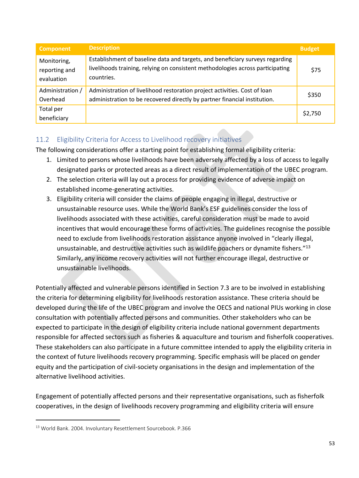| <b>Component</b>                           | <b>Description</b>                                                                                                                                                            | <b>Budget</b> |
|--------------------------------------------|-------------------------------------------------------------------------------------------------------------------------------------------------------------------------------|---------------|
| Monitoring,<br>reporting and<br>evaluation | Establishment of baseline data and targets, and beneficiary surveys regarding<br>livelihoods training, relying on consistent methodologies across participating<br>countries. | \$75          |
| Administration /<br>Overhead               | Administration of livelihood restoration project activities. Cost of loan<br>administration to be recovered directly by partner financial institution.                        | \$350         |
| Total per<br>beneficiary                   |                                                                                                                                                                               | \$2,750       |

### <span id="page-53-0"></span>11.2 Eligibility Criteria for Access to Livelihood recovery initiatives

The following considerations offer a starting point for establishing formal eligibility criteria:

- 1. Limited to persons whose livelihoods have been adversely affected by a loss of access to legally designated parks or protected areas as a direct result of implementation of the UBEC program.
- 2. The selection criteria will lay out a process for providing evidence of adverse impact on established income-generating activities.
- 3. Eligibility criteria will consider the claims of people engaging in illegal, destructive or unsustainable resource uses. While the World Bank's ESF guidelines consider the loss of livelihoods associated with these activities, careful consideration must be made to avoid incentives that would encourage these forms of activities. The guidelines recognise the possible need to exclude from livelihoods restoration assistance anyone involved in "clearly illegal, unsustainable, and destructive activities such as wildlife poachers or dynamite fishers."<sup>13</sup> Similarly, any income recovery activities will not further encourage illegal, destructive or unsustainable livelihoods.

Potentially affected and vulnerable persons identified in Section 7.3 are to be involved in establishing the criteria for determining eligibility for livelihoods restoration assistance. These criteria should be developed during the life of the UBEC program and involve the OECS and national PIUs working in close consultation with potentially affected persons and communities. Other stakeholders who can be expected to participate in the design of eligibility criteria include national government departments responsible for affected sectors such as fisheries & aquaculture and tourism and fisherfolk cooperatives. These stakeholders can also participate in a future committee intended to apply the eligibility criteria in the context of future livelihoods recovery programming. Specific emphasis will be placed on gender equity and the participation of civil-society organisations in the design and implementation of the alternative livelihood activities.

Engagement of potentially affected persons and their representative organisations, such as fisherfolk cooperatives, in the design of livelihoods recovery programming and eligibility criteria will ensure

<sup>13</sup> World Bank. 2004. Involuntary Resettlement Sourcebook. P.366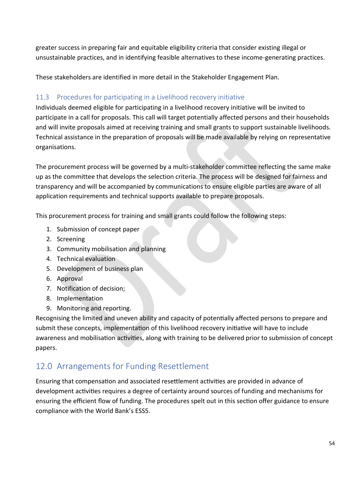greater success in preparing fair and equitable eligibility criteria that consider existing illegal or unsustainable practices, and in identifying feasible alternatives to these income-generating practices.

These stakeholders are identified in more detail in the Stakeholder Engagement Plan.

### <span id="page-54-0"></span>11.3 Procedures for participating in a Livelihood recovery initiative

Individuals deemed eligible for participating in a livelihood recovery initiative will be invited to participate in a call for proposals. This call will target potentially affected persons and their households and will invite proposals aimed at receiving training and small grants to support sustainable livelihoods. Technical assistance in the preparation of proposals will be made available by relying on representative organisations.

The procurement process will be governed by a multi-stakeholder committee reflecting the same make up as the committee that develops the selection criteria. The process will be designed for fairness and transparency and will be accompanied by communications to ensure eligible parties are aware of all application requirements and technical supports available to prepare proposals.

This procurement process for training and small grants could follow the following steps:

- 1. Submission of concept paper
- 2. Screening
- 3. Community mobilisation and planning
- 4. Technical evaluation
- 5. Development of business plan
- 6. Approval
- 7. Notification of decision;
- 8. Implementation
- 9. Monitoring and reporting.

Recognising the limited and uneven ability and capacity of potentially affected persons to prepare and submit these concepts, implementation of this livelihood recovery initiative will have to include awareness and mobilisation activities, along with training to be delivered prior to submission of concept papers.

# <span id="page-54-1"></span>12.0 Arrangements for Funding Resettlement

Ensuring that compensation and associated resettlement activities are provided in advance of development activities requires a degree of certainty around sources of funding and mechanisms for ensuring the efficient flow of funding. The procedures spelt out in this section offer guidance to ensure compliance with the World Bank's ESS5.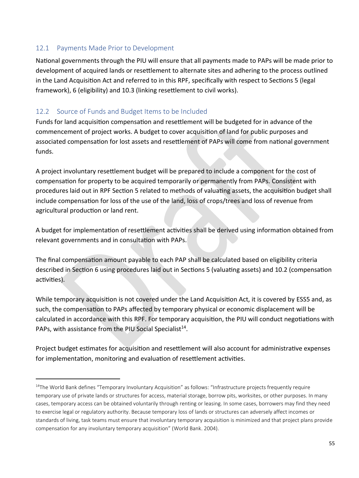### <span id="page-55-0"></span>12.1 Payments Made Prior to Development

 $\overline{a}$ 

National governments through the PIU will ensure that all payments made to PAPs will be made prior to development of acquired lands or resettlement to alternate sites and adhering to the process outlined in the Land Acquisition Act and referred to in this RPF, specifically with respect to Sections 5 (legal framework), 6 (eligibility) and 10.3 (linking resettlement to civil works).

### <span id="page-55-1"></span>12.2 Source of Funds and Budget Items to be Included

Funds for land acquisition compensation and resettlement will be budgeted for in advance of the commencement of project works. A budget to cover acquisition of land for public purposes and associated compensation for lost assets and resettlement of PAPs will come from national government funds.

A project involuntary resettlement budget will be prepared to include a component for the cost of compensation for property to be acquired temporarily or permanently from PAPs. Consistent with procedures laid out in RPF Section 5 related to methods of valuating assets, the acquisition budget shall include compensation for loss of the use of the land, loss of crops/trees and loss of revenue from agricultural production or land rent.

A budget for implementation of resettlement activities shall be derived using information obtained from relevant governments and in consultation with PAPs.

The final compensation amount payable to each PAP shall be calculated based on eligibility criteria described in Section 6 using procedures laid out in Sections 5 (valuating assets) and 10.2 (compensation activities).

While temporary acquisition is not covered under the Land Acquisition Act, it is covered by ESS5 and, as such, the compensation to PAPs affected by temporary physical or economic displacement will be calculated in accordance with this RPF. For temporary acquisition, the PIU will conduct negotiations with PAPs, with assistance from the PIU Social Specialist<sup>14</sup>.

Project budget estimates for acquisition and resettlement will also account for administrative expenses for implementation, monitoring and evaluation of resettlement activities.

<sup>&</sup>lt;sup>14</sup>The World Bank defines "Temporary Involuntary Acquisition" as follows: "Infrastructure projects frequently require temporary use of private lands or structures for access, material storage, borrow pits, worksites, or other purposes. In many cases, temporary access can be obtained voluntarily through renting or leasing. In some cases, borrowers may find they need to exercise legal or regulatory authority. Because temporary loss of lands or structures can adversely affect incomes or standards of living, task teams must ensure that involuntary temporary acquisition is minimized and that project plans provide compensation for any involuntary temporary acquisition" (World Bank. 2004).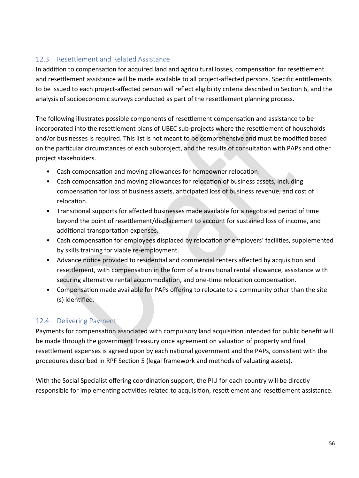### <span id="page-56-0"></span>12.3 Resettlement and Related Assistance

In addition to compensation for acquired land and agricultural losses, compensation for resettlement and resettlement assistance will be made available to all project-affected persons. Specific entitlements to be issued to each project-affected person will reflect eligibility criteria described in Section 6, and the analysis of socioeconomic surveys conducted as part of the resettlement planning process.

The following illustrates possible components of resettlement compensation and assistance to be incorporated into the resettlement plans of UBEC sub-projects where the resettlement of households and/or businesses is required. This list is not meant to be comprehensive and must be modified based on the particular circumstances of each subproject, and the results of consultation with PAPs and other project stakeholders.

- Cash compensation and moving allowances for homeowner relocation.
- Cash compensation and moving allowances for relocation of business assets, including compensation for loss of business assets, anticipated loss of business revenue, and cost of relocation.
- Transitional supports for affected businesses made available for a negotiated period of time beyond the point of resettlement/displacement to account for sustained loss of income, and additional transportation expenses.
- Cash compensation for employees displaced by relocation of employers' facilities, supplemented by skills training for viable re-employment.
- Advance notice provided to residential and commercial renters affected by acquisition and resettlement, with compensation in the form of a transitional rental allowance, assistance with securing alternative rental accommodation, and one-time relocation compensation.
- Compensation made available for PAPs offering to relocate to a community other than the site (s) identified.

### <span id="page-56-1"></span>12.4 Delivering Payment

Payments for compensation associated with compulsory land acquisition intended for public benefit will be made through the government Treasury once agreement on valuation of property and final resettlement expenses is agreed upon by each national government and the PAPs, consistent with the procedures described in RPF Section 5 (legal framework and methods of valuating assets).

With the Social Specialist offering coordination support, the PIU for each country will be directly responsible for implementing activities related to acquisition, resettlement and resettlement assistance.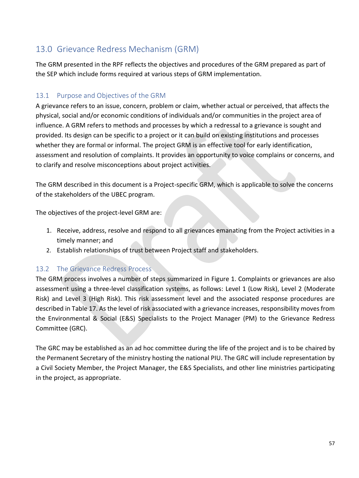# <span id="page-57-0"></span>13.0 Grievance Redress Mechanism (GRM)

The GRM presented in the RPF reflects the objectives and procedures of the GRM prepared as part of the SEP which include forms required at various steps of GRM implementation.

### <span id="page-57-1"></span>13.1 Purpose and Objectives of the GRM

A grievance refers to an issue, concern, problem or claim, whether actual or perceived, that affects the physical, social and/or economic conditions of individuals and/or communities in the project area of influence. A GRM refers to methods and processes by which a redressal to a grievance is sought and provided. Its design can be specific to a project or it can build on existing institutions and processes whether they are formal or informal. The project GRM is an effective tool for early identification, assessment and resolution of complaints. It provides an opportunity to voice complains or concerns, and to clarify and resolve misconceptions about project activities.

The GRM described in this document is a Project-specific GRM, which is applicable to solve the concerns of the stakeholders of the UBEC program.

The objectives of the project-level GRM are:

- 1. Receive, address, resolve and respond to all grievances emanating from the Project activities in a timely manner; and
- 2. Establish relationships of trust between Project staff and stakeholders.

### <span id="page-57-2"></span>13.2 The Grievance Redress Process

The GRM process involves a number of steps summarized in Figure 1. Complaints or grievances are also assessment using a three-level classification systems, as follows: Level 1 (Low Risk), Level 2 (Moderate Risk) and Level 3 (High Risk). This risk assessment level and the associated response procedures are described in Table 17. As the level of risk associated with a grievance increases, responsibility moves from the Environmental & Social (E&S) Specialists to the Project Manager (PM) to the Grievance Redress Committee (GRC).

The GRC may be established as an ad hoc committee during the life of the project and is to be chaired by the Permanent Secretary of the ministry hosting the national PIU. The GRC will include representation by a Civil Society Member, the Project Manager, the E&S Specialists, and other line ministries participating in the project, as appropriate.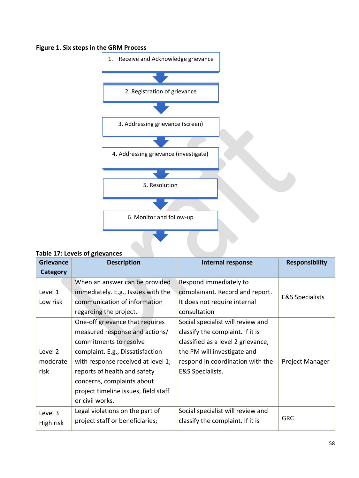### **Figure 1. Six steps in the GRM Process**



#### **Table 17: Levels of grievances**

| <b>Grievance</b> | <b>Description</b>                   | Internal response                  | <b>Responsibility</b>      |
|------------------|--------------------------------------|------------------------------------|----------------------------|
| Category         |                                      |                                    |                            |
|                  | When an answer can be provided       | Respond immediately to             |                            |
| Level 1          | immediately. E.g., Issues with the   | complainant. Record and report.    | <b>E&amp;S Specialists</b> |
| Low risk         | communication of information         | It does not require internal       |                            |
|                  | regarding the project.               | consultation                       |                            |
|                  | One-off grievance that requires      | Social specialist will review and  |                            |
|                  | measured response and actions/       | classify the complaint. If it is   |                            |
|                  | commitments to resolve               | classified as a level 2 grievance, |                            |
| Level 2          | complaint. E.g., Dissatisfaction     | the PM will investigate and        |                            |
| moderate         | with response received at level 1;   | respond in coordination with the   | Project Manager            |
| risk             | reports of health and safety         | <b>E&amp;S Specialists.</b>        |                            |
|                  | concerns, complaints about           |                                    |                            |
|                  | project timeline issues, field staff |                                    |                            |
|                  | or civil works.                      |                                    |                            |
| Level 3          | Legal violations on the part of      | Social specialist will review and  |                            |
| High risk        | project staff or beneficiaries;      | classify the complaint. If it is   | <b>GRC</b>                 |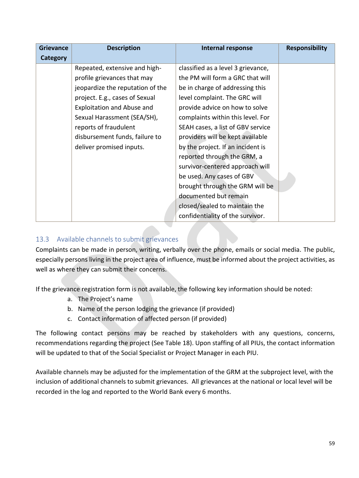| <b>Grievance</b> | <b>Description</b>               | <b>Internal response</b>           | <b>Responsibility</b> |
|------------------|----------------------------------|------------------------------------|-----------------------|
| Category         |                                  |                                    |                       |
|                  | Repeated, extensive and high-    | classified as a level 3 grievance, |                       |
|                  | profile grievances that may      | the PM will form a GRC that will   |                       |
|                  | jeopardize the reputation of the | be in charge of addressing this    |                       |
|                  | project. E.g., cases of Sexual   | level complaint. The GRC will      |                       |
|                  | Exploitation and Abuse and       | provide advice on how to solve     |                       |
|                  | Sexual Harassment (SEA/SH),      | complaints within this level. For  |                       |
|                  | reports of fraudulent            | SEAH cases, a list of GBV service  |                       |
|                  | disbursement funds, failure to   | providers will be kept available   |                       |
|                  | deliver promised inputs.         | by the project. If an incident is  |                       |
|                  |                                  | reported through the GRM, a        |                       |
|                  |                                  | survivor-centered approach will    |                       |
|                  |                                  | be used. Any cases of GBV          |                       |
|                  |                                  | brought through the GRM will be    |                       |
|                  |                                  | documented but remain              |                       |
|                  |                                  | closed/sealed to maintain the      |                       |
|                  |                                  | confidentiality of the survivor.   |                       |

### <span id="page-59-0"></span>13.3 Available channels to submit grievances

Complaints can be made in person, writing, verbally over the phone, emails or social media. The public, especially persons living in the project area of influence, must be informed about the project activities, as well as where they can submit their concerns.

If the grievance registration form is not available, the following key information should be noted:

- a. The Project's name
- b. Name of the person lodging the grievance (if provided)
- c. Contact information of affected person (if provided)

The following contact persons may be reached by stakeholders with any questions, concerns, recommendations regarding the project (See Table 18). Upon staffing of all PIUs, the contact information will be updated to that of the Social Specialist or Project Manager in each PIU.

Available channels may be adjusted for the implementation of the GRM at the subproject level, with the inclusion of additional channels to submit grievances. All grievances at the national or local level will be recorded in the log and reported to the World Bank every 6 months.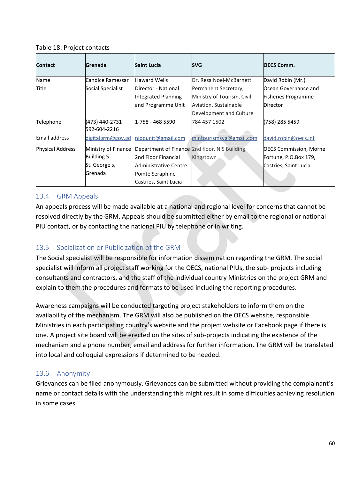#### Table 18: Project contacts

| <b>Contact</b>          | Grenada             | <b>Saint Lucia</b>                            | <b>SVG</b>                 | <b>OECS Comm.</b>             |
|-------------------------|---------------------|-----------------------------------------------|----------------------------|-------------------------------|
| Name                    | Candice Ramessar    | <b>Haward Wells</b>                           | Dr. Resa Noel-McBarnett    | David Robin (Mr.)             |
| Title                   | Social Specialist   | Director - National                           | Permanent Secretary,       | lOcean Governance and         |
|                         |                     | Integrated Planning                           | Ministry of Tourism, Civil | <b>Fisheries Programme</b>    |
|                         |                     | and Programme Unit                            | Aviation, Sustainable      | <b>IDirector</b>              |
|                         |                     |                                               | Development and Culture    |                               |
| Telephone               | (473) 440-2731      | 1-758 - 468 5590                              | 784 457 1502               | (758) 285 5459                |
|                         | 592-604-2216        |                                               |                            |                               |
| Email address           | digitalgrm@gov.gd   | nippunit@gmail.com                            | mintourismsvg@gmail.com    | david.robin@oecs.int          |
| <b>Physical Address</b> | Ministry of Finance | Department of Finance 2nd floor, NIS Building |                            | <b>OECS Commission, Morne</b> |
|                         | Building 5          | 2nd Floor Financial                           | Kingstown                  | Fortune, P.O.Box 179,         |
|                         | St. George's,       | Administrative Centre                         |                            | Castries, Saint Lucia         |
|                         | Grenada             | Pointe Seraphine                              |                            |                               |
|                         |                     | Castries, Saint Lucia                         |                            |                               |

### <span id="page-60-0"></span>13.4 GRM Appeals

An appeals process will be made available at a national and regional level for concerns that cannot be resolved directly by the GRM. Appeals should be submitted either by email to the regional or national PIU contact, or by contacting the national PIU by telephone or in writing.

### <span id="page-60-1"></span>13.5 Socialization or Publicization of the GRM

The Social specialist will be responsible for information dissemination regarding the GRM. The social specialist will inform all project staff working for the OECS, national PIUs, the sub- projects including consultants and contractors, and the staff of the individual country Ministries on the project GRM and explain to them the procedures and formats to be used including the reporting procedures.

Awareness campaigns will be conducted targeting project stakeholders to inform them on the availability of the mechanism. The GRM will also be published on the OECS website, responsible Ministries in each participating country's website and the project website or Facebook page if there is one. A project site board will be erected on the sites of sub-projects indicating the existence of the mechanism and a phone number, email and address for further information. The GRM will be translated into local and colloquial expressions if determined to be needed.

### <span id="page-60-2"></span>13.6 Anonymity

Grievances can be filed anonymously. Grievances can be submitted without providing the complainant's name or contact details with the understanding this might result in some difficulties achieving resolution in some cases.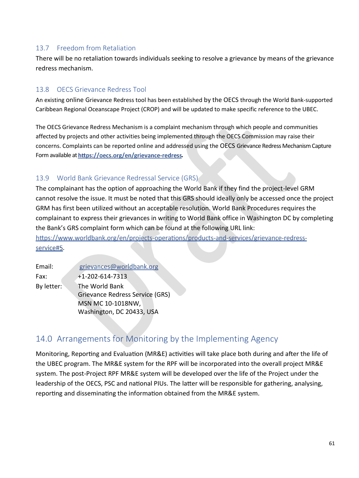### <span id="page-61-0"></span>13.7 Freedom from Retaliation

There will be no retaliation towards individuals seeking to resolve a grievance by means of the grievance redress mechanism.

### <span id="page-61-1"></span>13.8 OECS Grievance Redress Tool

An existing online Grievance Redress tool has been established by the OECS through the World Bank-supported Caribbean Regional Oceanscape Project (CROP) and will be updated to make specific reference to the UBEC.

The OECS Grievance Redress Mechanism is a complaint mechanism through which people and communities affected by projects and other activities being implemented through the OECS Commission may raise their concerns. Complaints can be reported online and addressed using the OECS Grievance Redress Mechanism Capture Form available a[t](https://oecs.org/en/grievance-redress) https://oecs.org/en/grievance-redress.

### <span id="page-61-2"></span>13.9 World Bank Grievance Redressal Service (GRS)

The complainant has the option of approaching the World Bank if they find the project-level GRM cannot resolve the issue. It must be noted that this GRS should ideally only be accessed once the project GRM has first been utilized without an acceptable resolution. World Bank Procedures requires the complainant to express their grievances in writing to World Bank office in Washington DC by completing the Bank's GRS complaint form which can be found at the following URL link:

https://www.worldbank.org/en/projects-operations/products-and-services/grievance-redress-service#5[.](https://www.worldbank.org/en/projects-operations/products-and-services/grievance-redress-service#5)

| Email:     | grievances@worldbank.org               |
|------------|----------------------------------------|
| Fax:       | $+1 - 202 - 614 - 7313$                |
| By letter: | The World Bank                         |
|            | <b>Grievance Redress Service (GRS)</b> |
|            | MSN MC 10-1018NW,                      |
|            | Washington, DC 20433, USA              |

## <span id="page-61-3"></span>14.0 Arrangements for Monitoring by the Implementing Agency

Monitoring, Reporting and Evaluation (MR&E) activities will take place both during and after the life of the UBEC program. The MR&E system for the RPF will be incorporated into the overall project MR&E system. The post-Project RPF MR&E system will be developed over the life of the Project under the leadership of the OECS, PSC and national PIUs. The latter will be responsible for gathering, analysing, reporting and disseminating the information obtained from the MR&E system.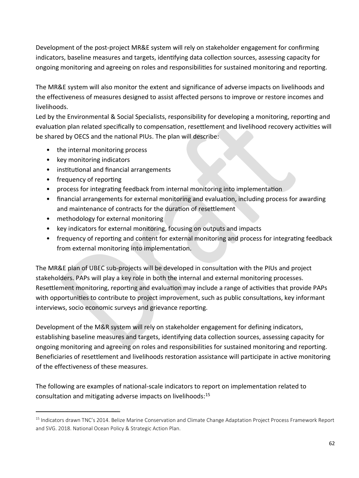Development of the post-project MR&E system will rely on stakeholder engagement for confirming indicators, baseline measures and targets, identifying data collection sources, assessing capacity for ongoing monitoring and agreeing on roles and responsibilities for sustained monitoring and reporting.

The MR&E system will also monitor the extent and significance of adverse impacts on livelihoods and the effectiveness of measures designed to assist affected persons to improve or restore incomes and livelihoods.

Led by the Environmental & Social Specialists, responsibility for developing a monitoring, reporting and evaluation plan related specifically to compensation, resettlement and livelihood recovery activities will be shared by OECS and the national PIUs. The plan will describe:

- the internal monitoring process
- key monitoring indicators
- institutional and financial arrangements
- frequency of reporting

 $\overline{a}$ 

- process for integrating feedback from internal monitoring into implementation
- financial arrangements for external monitoring and evaluation, including process for awarding and maintenance of contracts for the duration of resettlement
- methodology for external monitoring
- key indicators for external monitoring, focusing on outputs and impacts
- frequency of reporting and content for external monitoring and process for integrating feedback from external monitoring into implementation.

The MR&E plan of UBEC sub-projects will be developed in consultation with the PIUs and project stakeholders. PAPs will play a key role in both the internal and external monitoring processes. Resettlement monitoring, reporting and evaluation may include a range of activities that provide PAPs with opportunities to contribute to project improvement, such as public consultations, key informant interviews, socio economic surveys and grievance reporting.

Development of the M&R system will rely on stakeholder engagement for defining indicators, establishing baseline measures and targets, identifying data collection sources, assessing capacity for ongoing monitoring and agreeing on roles and responsibilities for sustained monitoring and reporting. Beneficiaries of resettlement and livelihoods restoration assistance will participate in active monitoring of the effectiveness of these measures.

The following are examples of national-scale indicators to report on implementation related to consultation and mitigating adverse impacts on livelihoods:<sup>15</sup>

<sup>&</sup>lt;sup>15</sup> Indicators drawn TNC's 2014. Belize Marine Conservation and Climate Change Adaptation Project Process Framework Report and SVG. 2018. National Ocean Policy & Strategic Action Plan.